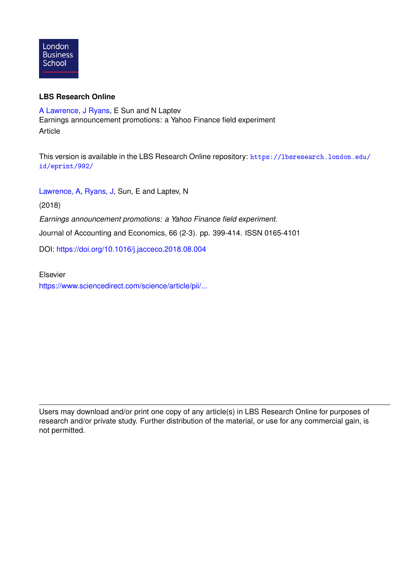

# **LBS Research Online**

[A Lawrence,](https://lbsresearch.london.edu/view/lbs_authors/3043286.html) [J Ryans,](https://lbsresearch.london.edu/view/lbs_authors/2750501.html) E Sun and N Laptev Earnings announcement promotions: a Yahoo Finance field experiment Article

This version is available in the LBS Research Online repository: [https://lbsresearch.london.edu/](https://lbsresearch.london.edu/id/eprint/992/) [id/eprint/992/](https://lbsresearch.london.edu/id/eprint/992/)

[Lawrence, A,](https://lbsresearch.london.edu/view/lbs_authors/3043286.html) [Ryans, J,](https://lbsresearch.london.edu/view/lbs_authors/2750501.html) Sun, E and Laptev, N

(2018)

*Earnings announcement promotions: a Yahoo Finance field experiment.*

Journal of Accounting and Economics, 66 (2-3). pp. 399-414. ISSN 0165-4101

DOI: <https://doi.org/10.1016/j.jacceco.2018.08.004>

Elsevier [https://www.sciencedirect.com/science/article/pii/...](https://www.sciencedirect.com/science/article/pii/S0165410118300442)

Users may download and/or print one copy of any article(s) in LBS Research Online for purposes of research and/or private study. Further distribution of the material, or use for any commercial gain, is not permitted.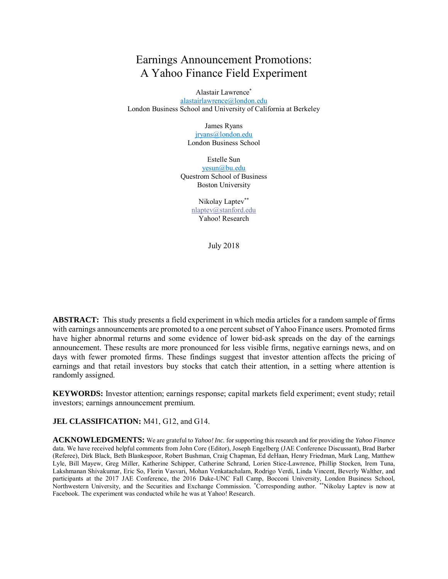# Earnings Announcement Promotions: A Yahoo Finance Field Experiment

Alastair Lawrence\*

alastairlawrence@london.edu London Business School and University of California at Berkeley

> James Ryans jryans@london.edu

London Business School

Estelle Sun [yesun@bu.edu](mailto:yesun@bu.edu) Questrom School of Business Boston University

> Nikolay Laptev\*\* [nlaptev@stanford.edu](mailto:nlaptev@stanford.edu) Yahoo! Research

> > July 2018

**ABSTRACT:** This study presents a field experiment in which media articles for a random sample of firms with earnings announcements are promoted to a one percent subset of Yahoo Finance users. Promoted firms have higher abnormal returns and some evidence of lower bid-ask spreads on the day of the earnings announcement. These results are more pronounced for less visible firms, negative earnings news, and on days with fewer promoted firms. These findings suggest that investor attention affects the pricing of earnings and that retail investors buy stocks that catch their attention, in a setting where attention is randomly assigned.

**KEYWORDS:** Investor attention; earnings response; capital markets field experiment; event study; retail investors; earnings announcement premium.

**JEL CLASSIFICATION:** M41, G12, and G14.

**ACKNOWLEDGMENTS:** We are grateful to *Yahoo! Inc.* for supporting this research and for providing the *Yahoo Finance* data. We have received helpful comments from John Core (Editor), Joseph Engelberg (JAE Conference Discussant), Brad Barber (Referee), Dirk Black, Beth Blankespoor, Robert Bushman, Craig Chapman, Ed deHaan, Henry Friedman, Mark Lang, Matthew Lyle, Bill Mayew, Greg Miller, Katherine Schipper, Catherine Schrand, Lorien Stice-Lawrence, Phillip Stocken, Irem Tuna, Lakshmanan Shivakumar, Eric So, Florin Vasvari, Mohan Venkatachalam, Rodrigo Verdi, Linda Vincent, Beverly Walther, and participants at the 2017 JAE Conference, the 2016 Duke-UNC Fall Camp, Bocconi University, London Business School, Northwestern University, and the Securities and Exchange Commission. \*Corresponding author. \*\*Nikolay Laptev is now at Facebook. The experiment was conducted while he was at Yahoo! Research.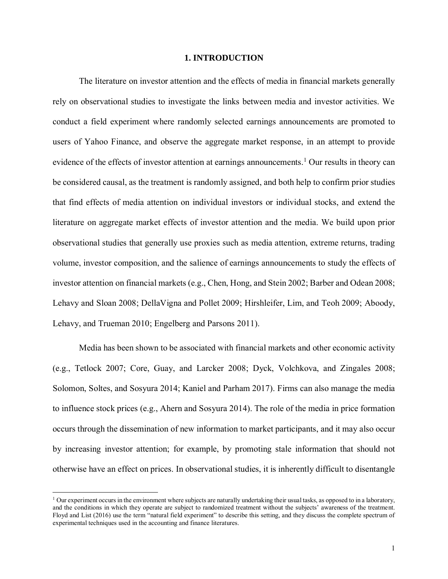## **1. INTRODUCTION**

The literature on investor attention and the effects of media in financial markets generally rely on observational studies to investigate the links between media and investor activities. We conduct a field experiment where randomly selected earnings announcements are promoted to users of Yahoo Finance, and observe the aggregate market response, in an attempt to provide evidence of the effects of investor attention at earnings announcements. <sup>1</sup> Our results in theory can be considered causal, as the treatment is randomly assigned, and both help to confirm prior studies that find effects of media attention on individual investors or individual stocks, and extend the literature on aggregate market effects of investor attention and the media. We build upon prior observational studies that generally use proxies such as media attention, extreme returns, trading volume, investor composition, and the salience of earnings announcements to study the effects of investor attention on financial markets (e.g., Chen, Hong, and Stein 2002; Barber and Odean 2008; Lehavy and Sloan 2008; DellaVigna and Pollet 2009; Hirshleifer, Lim, and Teoh 2009; Aboody, Lehavy, and Trueman 2010; Engelberg and Parsons 2011).

Media has been shown to be associated with financial markets and other economic activity (e.g., Tetlock 2007; Core, Guay, and Larcker 2008; Dyck, Volchkova, and Zingales 2008; Solomon, Soltes, and Sosyura 2014; Kaniel and Parham 2017). Firms can also manage the media to influence stock prices (e.g., Ahern and Sosyura 2014). The role of the media in price formation occurs through the dissemination of new information to market participants, and it may also occur by increasing investor attention; for example, by promoting stale information that should not otherwise have an effect on prices. In observational studies, it is inherently difficult to disentangle

 $\overline{a}$ 

 $1$  Our experiment occurs in the environment where subjects are naturally undertaking their usual tasks, as opposed to in a laboratory, and the conditions in which they operate are subject to randomized treatment without the subjects' awareness of the treatment. Floyd and List (2016) use the term "natural field experiment" to describe this setting, and they discuss the complete spectrum of experimental techniques used in the accounting and finance literatures.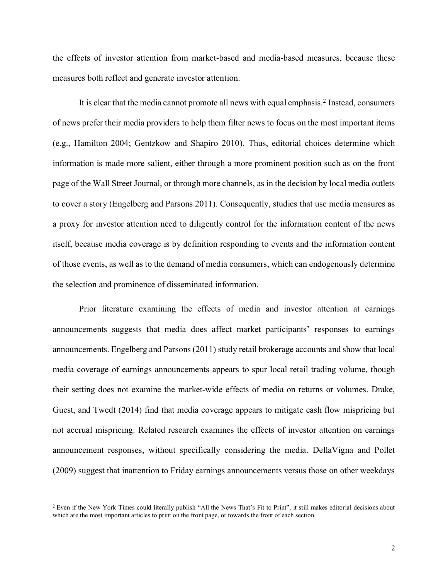the effects of investor attention from market-based and media-based measures, because these measures both reflect and generate investor attention.

It is clear that the media cannot promote all news with equal emphasis.<sup>2</sup> Instead, consumers of news prefer their media providers to help them filter news to focus on the most important items (e.g., Hamilton 2004; Gentzkow and Shapiro 2010). Thus, editorial choices determine which information is made more salient, either through a more prominent position such as on the front page of the Wall Street Journal, or through more channels, as in the decision by local media outlets to cover a story (Engelberg and Parsons 2011). Consequently, studies that use media measures as a proxy for investor attention need to diligently control for the information content of the news itself, because media coverage is by definition responding to events and the information content of those events, as well as to the demand of media consumers, which can endogenously determine the selection and prominence of disseminated information.

Prior literature examining the effects of media and investor attention at earnings announcements suggests that media does affect market participants' responses to earnings announcements. Engelberg and Parsons (2011) study retail brokerage accounts and show that local media coverage of earnings announcements appears to spur local retail trading volume, though their setting does not examine the market-wide effects of media on returns or volumes. Drake, Guest, and Twedt (2014) find that media coverage appears to mitigate cash flow mispricing but not accrual mispricing. Related research examines the effects of investor attention on earnings announcement responses, without specifically considering the media. DellaVigna and Pollet (2009) suggest that inattention to Friday earnings announcements versus those on other weekdays

 $\overline{a}$ 

<sup>2</sup> Even if the New York Times could literally publish "All the News That's Fit to Print", it still makes editorial decisions about which are the most important articles to print on the front page, or towards the front of each section.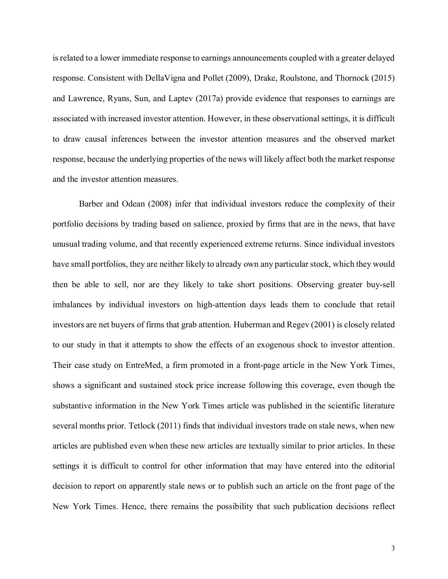is related to a lower immediate response to earnings announcements coupled with a greater delayed response. Consistent with DellaVigna and Pollet (2009), Drake, Roulstone, and Thornock (2015) and Lawrence, Ryans, Sun, and Laptev (2017a) provide evidence that responses to earnings are associated with increased investor attention. However, in these observational settings, it is difficult to draw causal inferences between the investor attention measures and the observed market response, because the underlying properties of the news will likely affect both the market response and the investor attention measures.

Barber and Odean (2008) infer that individual investors reduce the complexity of their portfolio decisions by trading based on salience, proxied by firms that are in the news, that have unusual trading volume, and that recently experienced extreme returns. Since individual investors have small portfolios, they are neither likely to already own any particular stock, which they would then be able to sell, nor are they likely to take short positions. Observing greater buy-sell imbalances by individual investors on high-attention days leads them to conclude that retail investors are net buyers of firms that grab attention. Huberman and Regev (2001) is closely related to our study in that it attempts to show the effects of an exogenous shock to investor attention. Their case study on EntreMed, a firm promoted in a front-page article in the New York Times, shows a significant and sustained stock price increase following this coverage, even though the substantive information in the New York Times article was published in the scientific literature several months prior. Tetlock (2011) finds that individual investors trade on stale news, when new articles are published even when these new articles are textually similar to prior articles. In these settings it is difficult to control for other information that may have entered into the editorial decision to report on apparently stale news or to publish such an article on the front page of the New York Times. Hence, there remains the possibility that such publication decisions reflect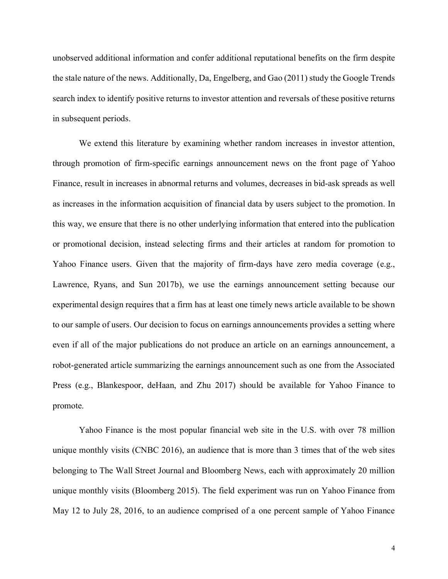unobserved additional information and confer additional reputational benefits on the firm despite the stale nature of the news. Additionally, Da, Engelberg, and Gao (2011) study the Google Trends search index to identify positive returns to investor attention and reversals of these positive returns in subsequent periods.

We extend this literature by examining whether random increases in investor attention, through promotion of firm-specific earnings announcement news on the front page of Yahoo Finance, result in increases in abnormal returns and volumes, decreases in bid-ask spreads as well as increases in the information acquisition of financial data by users subject to the promotion. In this way, we ensure that there is no other underlying information that entered into the publication or promotional decision, instead selecting firms and their articles at random for promotion to Yahoo Finance users. Given that the majority of firm-days have zero media coverage (e.g., Lawrence, Ryans, and Sun 2017b), we use the earnings announcement setting because our experimental design requires that a firm has at least one timely news article available to be shown to our sample of users. Our decision to focus on earnings announcements provides a setting where even if all of the major publications do not produce an article on an earnings announcement, a robot-generated article summarizing the earnings announcement such as one from the Associated Press (e.g., Blankespoor, deHaan, and Zhu 2017) should be available for Yahoo Finance to promote.

Yahoo Finance is the most popular financial web site in the U.S. with over 78 million unique monthly visits (CNBC 2016), an audience that is more than 3 times that of the web sites belonging to The Wall Street Journal and Bloomberg News, each with approximately 20 million unique monthly visits (Bloomberg 2015). The field experiment was run on Yahoo Finance from May 12 to July 28, 2016, to an audience comprised of a one percent sample of Yahoo Finance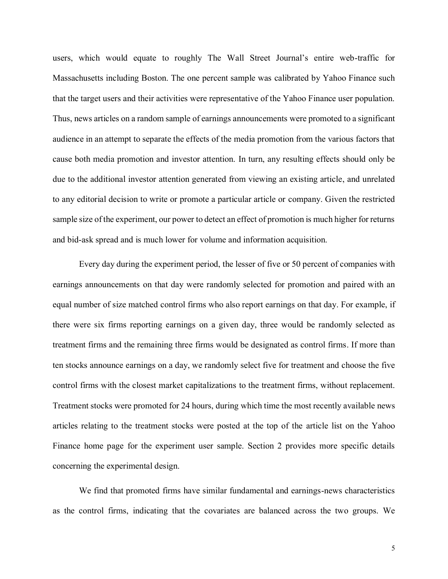users, which would equate to roughly The Wall Street Journal's entire web-traffic for Massachusetts including Boston. The one percent sample was calibrated by Yahoo Finance such that the target users and their activities were representative of the Yahoo Finance user population. Thus, news articles on a random sample of earnings announcements were promoted to a significant audience in an attempt to separate the effects of the media promotion from the various factors that cause both media promotion and investor attention. In turn, any resulting effects should only be due to the additional investor attention generated from viewing an existing article, and unrelated to any editorial decision to write or promote a particular article or company. Given the restricted sample size of the experiment, our power to detect an effect of promotion is much higher for returns and bid-ask spread and is much lower for volume and information acquisition.

Every day during the experiment period, the lesser of five or 50 percent of companies with earnings announcements on that day were randomly selected for promotion and paired with an equal number of size matched control firms who also report earnings on that day. For example, if there were six firms reporting earnings on a given day, three would be randomly selected as treatment firms and the remaining three firms would be designated as control firms. If more than ten stocks announce earnings on a day, we randomly select five for treatment and choose the five control firms with the closest market capitalizations to the treatment firms, without replacement. Treatment stocks were promoted for 24 hours, during which time the most recently available news articles relating to the treatment stocks were posted at the top of the article list on the Yahoo Finance home page for the experiment user sample. Section 2 provides more specific details concerning the experimental design.

We find that promoted firms have similar fundamental and earnings-news characteristics as the control firms, indicating that the covariates are balanced across the two groups. We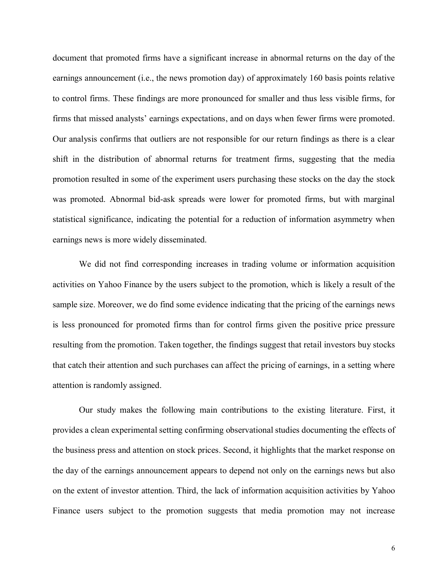document that promoted firms have a significant increase in abnormal returns on the day of the earnings announcement (i.e., the news promotion day) of approximately 160 basis points relative to control firms. These findings are more pronounced for smaller and thus less visible firms, for firms that missed analysts' earnings expectations, and on days when fewer firms were promoted. Our analysis confirms that outliers are not responsible for our return findings as there is a clear shift in the distribution of abnormal returns for treatment firms, suggesting that the media promotion resulted in some of the experiment users purchasing these stocks on the day the stock was promoted. Abnormal bid-ask spreads were lower for promoted firms, but with marginal statistical significance, indicating the potential for a reduction of information asymmetry when earnings news is more widely disseminated.

We did not find corresponding increases in trading volume or information acquisition activities on Yahoo Finance by the users subject to the promotion, which is likely a result of the sample size. Moreover, we do find some evidence indicating that the pricing of the earnings news is less pronounced for promoted firms than for control firms given the positive price pressure resulting from the promotion. Taken together, the findings suggest that retail investors buy stocks that catch their attention and such purchases can affect the pricing of earnings, in a setting where attention is randomly assigned.

Our study makes the following main contributions to the existing literature. First, it provides a clean experimental setting confirming observational studies documenting the effects of the business press and attention on stock prices. Second, it highlights that the market response on the day of the earnings announcement appears to depend not only on the earnings news but also on the extent of investor attention. Third, the lack of information acquisition activities by Yahoo Finance users subject to the promotion suggests that media promotion may not increase

6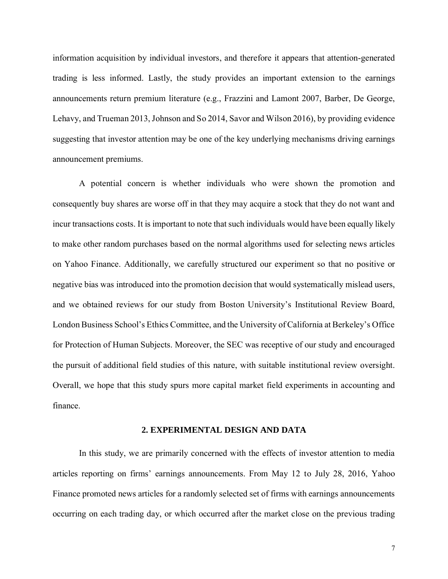information acquisition by individual investors, and therefore it appears that attention-generated trading is less informed. Lastly, the study provides an important extension to the earnings announcements return premium literature (e.g., Frazzini and Lamont 2007, Barber, De George, Lehavy, and Trueman 2013, Johnson and So 2014, Savor and Wilson 2016), by providing evidence suggesting that investor attention may be one of the key underlying mechanisms driving earnings announcement premiums.

A potential concern is whether individuals who were shown the promotion and consequently buy shares are worse off in that they may acquire a stock that they do not want and incur transactions costs. It is important to note that such individuals would have been equally likely to make other random purchases based on the normal algorithms used for selecting news articles on Yahoo Finance. Additionally, we carefully structured our experiment so that no positive or negative bias was introduced into the promotion decision that would systematically mislead users, and we obtained reviews for our study from Boston University's Institutional Review Board, London Business School's Ethics Committee, and the University of California at Berkeley's Office for Protection of Human Subjects. Moreover, the SEC was receptive of our study and encouraged the pursuit of additional field studies of this nature, with suitable institutional review oversight. Overall, we hope that this study spurs more capital market field experiments in accounting and finance.

## **2. EXPERIMENTAL DESIGN AND DATA**

In this study, we are primarily concerned with the effects of investor attention to media articles reporting on firms' earnings announcements. From May 12 to July 28, 2016, Yahoo Finance promoted news articles for a randomly selected set of firms with earnings announcements occurring on each trading day, or which occurred after the market close on the previous trading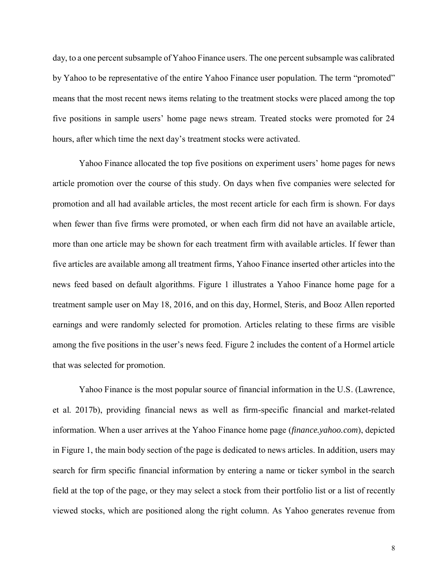day, to a one percent subsample of Yahoo Finance users. The one percent subsample was calibrated by Yahoo to be representative of the entire Yahoo Finance user population. The term "promoted" means that the most recent news items relating to the treatment stocks were placed among the top five positions in sample users' home page news stream. Treated stocks were promoted for 24 hours, after which time the next day's treatment stocks were activated.

Yahoo Finance allocated the top five positions on experiment users' home pages for news article promotion over the course of this study. On days when five companies were selected for promotion and all had available articles, the most recent article for each firm is shown. For days when fewer than five firms were promoted, or when each firm did not have an available article, more than one article may be shown for each treatment firm with available articles. If fewer than five articles are available among all treatment firms, Yahoo Finance inserted other articles into the news feed based on default algorithms. Figure 1 illustrates a Yahoo Finance home page for a treatment sample user on May 18, 2016, and on this day, Hormel, Steris, and Booz Allen reported earnings and were randomly selected for promotion. Articles relating to these firms are visible among the five positions in the user's news feed. Figure 2 includes the content of a Hormel article that was selected for promotion.

Yahoo Finance is the most popular source of financial information in the U.S. (Lawrence, et al. 2017b), providing financial news as well as firm-specific financial and market-related information. When a user arrives at the Yahoo Finance home page (*finance.yahoo.com*), depicted in Figure 1, the main body section of the page is dedicated to news articles. In addition, users may search for firm specific financial information by entering a name or ticker symbol in the search field at the top of the page, or they may select a stock from their portfolio list or a list of recently viewed stocks, which are positioned along the right column. As Yahoo generates revenue from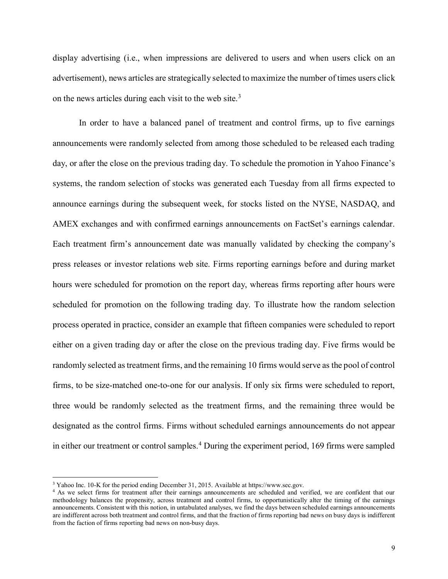display advertising (i.e., when impressions are delivered to users and when users click on an advertisement), news articles are strategically selected to maximize the number of times users click on the news articles during each visit to the web site.<sup>3</sup>

In order to have a balanced panel of treatment and control firms, up to five earnings announcements were randomly selected from among those scheduled to be released each trading day, or after the close on the previous trading day. To schedule the promotion in Yahoo Finance's systems, the random selection of stocks was generated each Tuesday from all firms expected to announce earnings during the subsequent week, for stocks listed on the NYSE, NASDAQ, and AMEX exchanges and with confirmed earnings announcements on FactSet's earnings calendar. Each treatment firm's announcement date was manually validated by checking the company's press releases or investor relations web site. Firms reporting earnings before and during market hours were scheduled for promotion on the report day, whereas firms reporting after hours were scheduled for promotion on the following trading day. To illustrate how the random selection process operated in practice, consider an example that fifteen companies were scheduled to report either on a given trading day or after the close on the previous trading day. Five firms would be randomly selected as treatment firms, and the remaining 10 firms would serve as the pool of control firms, to be size-matched one-to-one for our analysis. If only six firms were scheduled to report, three would be randomly selected as the treatment firms, and the remaining three would be designated as the control firms. Firms without scheduled earnings announcements do not appear in either our treatment or control samples.<sup>4</sup> During the experiment period, 169 firms were sampled

 $\overline{a}$ 

<sup>3</sup> Yahoo Inc. 10-K for the period ending December 31, 2015. Available at https://www.sec.gov.

<sup>&</sup>lt;sup>4</sup> As we select firms for treatment after their earnings announcements are scheduled and verified, we are confident that our methodology balances the propensity, across treatment and control firms, to opportunistically alter the timing of the earnings announcements. Consistent with this notion, in untabulated analyses, we find the days between scheduled earnings announcements are indifferent across both treatment and control firms, and that the fraction of firms reporting bad news on busy days is indifferent from the faction of firms reporting bad news on non-busy days.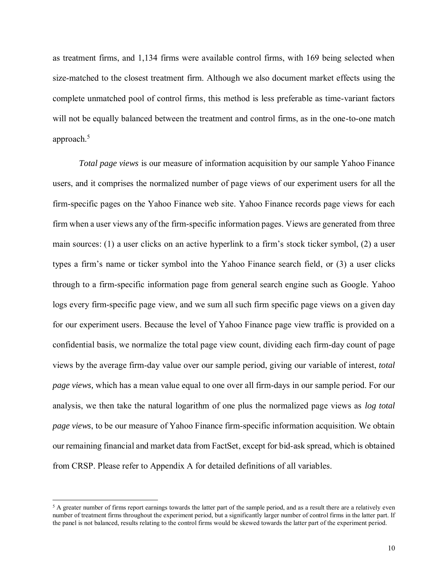as treatment firms, and 1,134 firms were available control firms, with 169 being selected when size-matched to the closest treatment firm. Although we also document market effects using the complete unmatched pool of control firms, this method is less preferable as time-variant factors will not be equally balanced between the treatment and control firms, as in the one-to-one match approach.<sup>5</sup>

*Total page views* is our measure of information acquisition by our sample Yahoo Finance users, and it comprises the normalized number of page views of our experiment users for all the firm-specific pages on the Yahoo Finance web site. Yahoo Finance records page views for each firm when a user views any of the firm-specific information pages. Views are generated from three main sources: (1) a user clicks on an active hyperlink to a firm's stock ticker symbol, (2) a user types a firm's name or ticker symbol into the Yahoo Finance search field, or (3) a user clicks through to a firm-specific information page from general search engine such as Google. Yahoo logs every firm-specific page view, and we sum all such firm specific page views on a given day for our experiment users. Because the level of Yahoo Finance page view traffic is provided on a confidential basis, we normalize the total page view count, dividing each firm-day count of page views by the average firm-day value over our sample period, giving our variable of interest, *total page views,* which has a mean value equal to one over all firm-days in our sample period. For our analysis, we then take the natural logarithm of one plus the normalized page views as *log total page views*, to be our measure of Yahoo Finance firm-specific information acquisition. We obtain our remaining financial and market data from FactSet, except for bid-ask spread, which is obtained from CRSP. Please refer to Appendix A for detailed definitions of all variables.

 $\overline{a}$ 

<sup>&</sup>lt;sup>5</sup> A greater number of firms report earnings towards the latter part of the sample period, and as a result there are a relatively even number of treatment firms throughout the experiment period, but a significantly larger number of control firms in the latter part. If the panel is not balanced, results relating to the control firms would be skewed towards the latter part of the experiment period.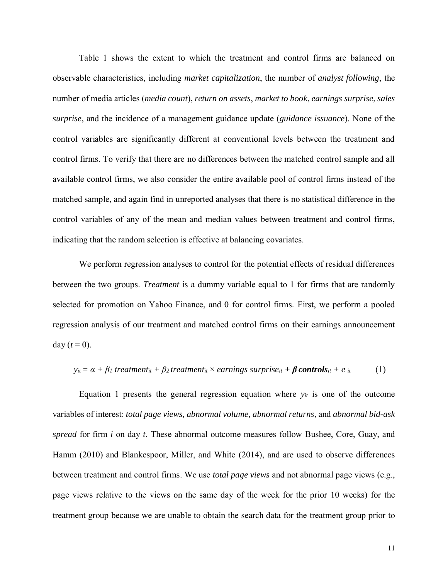Table 1 shows the extent to which the treatment and control firms are balanced on observable characteristics, including *market capitalization*, the number of *analyst following*, the number of media articles (*media count*), *return on assets*, *market to book*, *earnings surprise*, *sales surprise*, and the incidence of a management guidance update (*guidance issuance*). None of the control variables are significantly different at conventional levels between the treatment and control firms. To verify that there are no differences between the matched control sample and all available control firms, we also consider the entire available pool of control firms instead of the matched sample, and again find in unreported analyses that there is no statistical difference in the control variables of any of the mean and median values between treatment and control firms, indicating that the random selection is effective at balancing covariates.

We perform regression analyses to control for the potential effects of residual differences between the two groups. *Treatment* is a dummy variable equal to 1 for firms that are randomly selected for promotion on Yahoo Finance, and 0 for control firms. First, we perform a pooled regression analysis of our treatment and matched control firms on their earnings announcement day  $(t = 0)$ .

$$
y_{it} = \alpha + \beta_1
$$
 treatment<sub>it</sub> +  $\beta_2$  treatment<sub>it</sub> × earnings surprise<sub>it</sub> + ***g* controls**<sub>it</sub> + *e*<sub>it</sub> (1)

Equation 1 presents the general regression equation where  $y_{it}$  is one of the outcome variables of interest: *total page views, abnormal volume, abnormal returns*, and *abnormal bid-ask spread* for firm *i* on day *t*. These abnormal outcome measures follow Bushee, Core, Guay, and Hamm (2010) and Blankespoor, Miller, and White (2014), and are used to observe differences between treatment and control firms. We use *total page views* and not abnormal page views (e.g., page views relative to the views on the same day of the week for the prior 10 weeks) for the treatment group because we are unable to obtain the search data for the treatment group prior to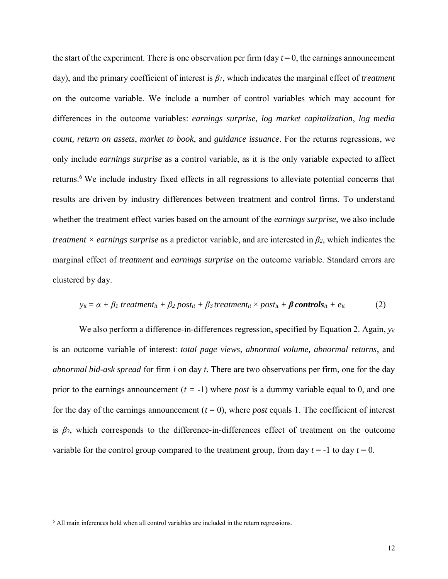the start of the experiment. There is one observation per firm  $(\text{day } t = 0)$ , the earnings announcement day), and the primary coefficient of interest is *β1*, which indicates the marginal effect of *treatment* on the outcome variable. We include a number of control variables which may account for differences in the outcome variables: *earnings surprise, log market capitalization*, *log media count, return on assets*, *market to book*, and *guidance issuance*. For the returns regressions, we only include *earnings surprise* as a control variable, as it is the only variable expected to affect returns.<sup>6</sup> We include industry fixed effects in all regressions to alleviate potential concerns that results are driven by industry differences between treatment and control firms. To understand whether the treatment effect varies based on the amount of the *earnings surprise*, we also include *treatment × earnings surprise* as a predictor variable, and are interested in *β2*, which indicates the marginal effect of *treatment* and *earnings surprise* on the outcome variable. Standard errors are clustered by day.

$$
y_{it} = \alpha + \beta_1 \text{ treatment}_{it} + \beta_2 \text{ post}_{it} + \beta_3 \text{ treatment}_{it} \times \text{post}_{it} + \beta \text{ controls}_{it} + e_{it}
$$
 (2)

We also perform a difference-in-differences regression, specified by Equation 2. Again,  $y_i$ is an outcome variable of interest: *total page views, abnormal volume, abnormal returns*, and *abnormal bid-ask spread* for firm *i* on day *t*. There are two observations per firm, one for the day prior to the earnings announcement  $(t = -1)$  where *post* is a dummy variable equal to 0, and one for the day of the earnings announcement  $(t = 0)$ , where *post* equals 1. The coefficient of interest is  $\beta_3$ , which corresponds to the difference-in-differences effect of treatment on the outcome variable for the control group compared to the treatment group, from day  $t = -1$  to day  $t = 0$ .

 $\overline{a}$ 

<sup>6</sup> All main inferences hold when all control variables are included in the return regressions.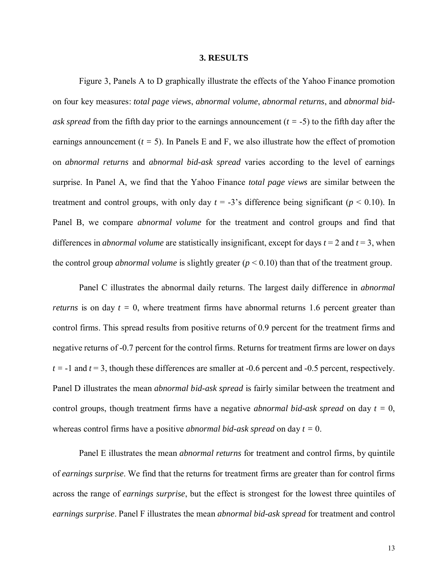#### **3. RESULTS**

Figure 3, Panels A to D graphically illustrate the effects of the Yahoo Finance promotion on four key measures: *total page views*, *abnormal volume*, *abnormal returns*, and *abnormal bidask spread* from the fifth day prior to the earnings announcement (*t =* -5) to the fifth day after the earnings announcement  $(t = 5)$ . In Panels E and F, we also illustrate how the effect of promotion on *abnormal returns* and *abnormal bid-ask spread* varies according to the level of earnings surprise. In Panel A, we find that the Yahoo Finance *total page views* are similar between the treatment and control groups, with only day  $t = -3$ 's difference being significant ( $p \le 0.10$ ). In Panel B, we compare *abnormal volume* for the treatment and control groups and find that differences in *abnormal volume* are statistically insignificant, except for days  $t = 2$  and  $t = 3$ , when the control group *abnormal volume* is slightly greater  $(p < 0.10)$  than that of the treatment group.

Panel C illustrates the abnormal daily returns. The largest daily difference in *abnormal returns* is on day  $t = 0$ , where treatment firms have abnormal returns 1.6 percent greater than control firms. This spread results from positive returns of 0.9 percent for the treatment firms and negative returns of -0.7 percent for the control firms. Returns for treatment firms are lower on days  $t = -1$  and  $t = 3$ , though these differences are smaller at  $-0.6$  percent and  $-0.5$  percent, respectively. Panel D illustrates the mean *abnormal bid-ask spread* is fairly similar between the treatment and control groups, though treatment firms have a negative *abnormal bid-ask spread* on day *t =* 0, whereas control firms have a positive *abnormal bid-ask spread* on day *t =* 0.

Panel E illustrates the mean *abnormal returns* for treatment and control firms, by quintile of *earnings surprise*. We find that the returns for treatment firms are greater than for control firms across the range of *earnings surprise*, but the effect is strongest for the lowest three quintiles of *earnings surprise*. Panel F illustrates the mean *abnormal bid-ask spread* for treatment and control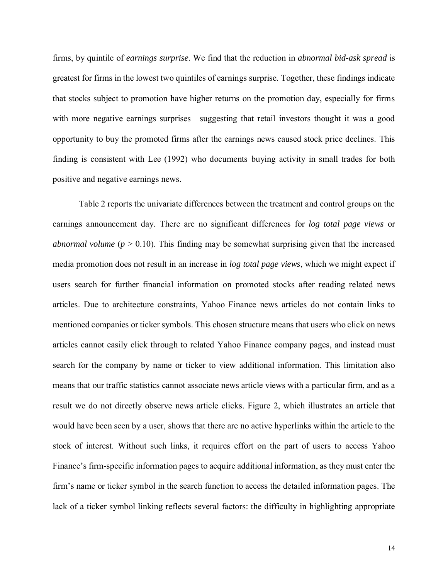firms, by quintile of *earnings surprise*. We find that the reduction in *abnormal bid-ask spread* is greatest for firms in the lowest two quintiles of earnings surprise. Together, these findings indicate that stocks subject to promotion have higher returns on the promotion day, especially for firms with more negative earnings surprises—suggesting that retail investors thought it was a good opportunity to buy the promoted firms after the earnings news caused stock price declines. This finding is consistent with Lee (1992) who documents buying activity in small trades for both positive and negative earnings news.

Table 2 reports the univariate differences between the treatment and control groups on the earnings announcement day. There are no significant differences for *log total page views* or *abnormal volume* ( $p > 0.10$ ). This finding may be somewhat surprising given that the increased media promotion does not result in an increase in *log total page views*, which we might expect if users search for further financial information on promoted stocks after reading related news articles. Due to architecture constraints, Yahoo Finance news articles do not contain links to mentioned companies or ticker symbols. This chosen structure means that users who click on news articles cannot easily click through to related Yahoo Finance company pages, and instead must search for the company by name or ticker to view additional information. This limitation also means that our traffic statistics cannot associate news article views with a particular firm, and as a result we do not directly observe news article clicks. Figure 2, which illustrates an article that would have been seen by a user, shows that there are no active hyperlinks within the article to the stock of interest. Without such links, it requires effort on the part of users to access Yahoo Finance's firm-specific information pages to acquire additional information, as they must enter the firm's name or ticker symbol in the search function to access the detailed information pages. The lack of a ticker symbol linking reflects several factors: the difficulty in highlighting appropriate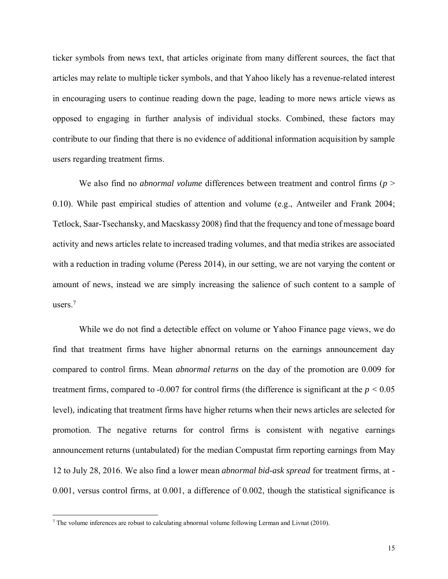ticker symbols from news text, that articles originate from many different sources, the fact that articles may relate to multiple ticker symbols, and that Yahoo likely has a revenue-related interest in encouraging users to continue reading down the page, leading to more news article views as opposed to engaging in further analysis of individual stocks. Combined, these factors may contribute to our finding that there is no evidence of additional information acquisition by sample users regarding treatment firms.

We also find no *abnormal volume* differences between treatment and control firms (*p* > 0.10). While past empirical studies of attention and volume (e.g., Antweiler and Frank 2004; Tetlock, Saar-Tsechansky, and Macskassy 2008) find that the frequency and tone of message board activity and news articles relate to increased trading volumes, and that media strikes are associated with a reduction in trading volume (Peress 2014), in our setting, we are not varying the content or amount of news, instead we are simply increasing the salience of such content to a sample of users. 7

While we do not find a detectible effect on volume or Yahoo Finance page views, we do find that treatment firms have higher abnormal returns on the earnings announcement day compared to control firms. Mean *abnormal returns* on the day of the promotion are 0.009 for treatment firms, compared to  $-0.007$  for control firms (the difference is significant at the  $p < 0.05$ level), indicating that treatment firms have higher returns when their news articles are selected for promotion. The negative returns for control firms is consistent with negative earnings announcement returns (untabulated) for the median Compustat firm reporting earnings from May 12 to July 28, 2016. We also find a lower mean *abnormal bid-ask spread* for treatment firms, at - 0.001, versus control firms, at 0.001, a difference of 0.002, though the statistical significance is

 $\overline{a}$ 

<sup>7</sup> The volume inferences are robust to calculating abnormal volume following Lerman and Livnat (2010).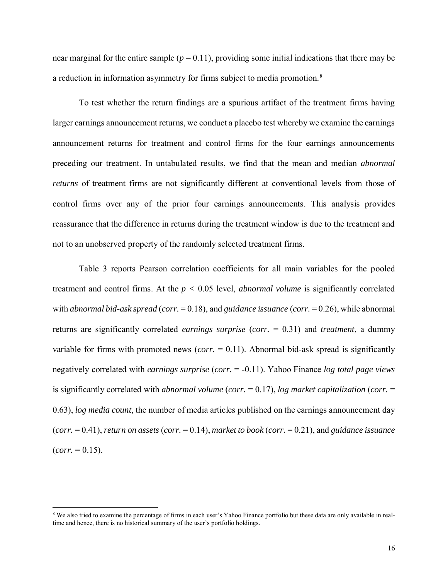near marginal for the entire sample  $(p = 0.11)$ , providing some initial indications that there may be a reduction in information asymmetry for firms subject to media promotion.<sup>8</sup>

To test whether the return findings are a spurious artifact of the treatment firms having larger earnings announcement returns, we conduct a placebo test whereby we examine the earnings announcement returns for treatment and control firms for the four earnings announcements preceding our treatment. In untabulated results, we find that the mean and median *abnormal returns* of treatment firms are not significantly different at conventional levels from those of control firms over any of the prior four earnings announcements. This analysis provides reassurance that the difference in returns during the treatment window is due to the treatment and not to an unobserved property of the randomly selected treatment firms.

Table 3 reports Pearson correlation coefficients for all main variables for the pooled treatment and control firms. At the *p <* 0.05 level, *abnormal volume* is significantly correlated with *abnormal bid-ask spread* (*corr.* = 0.18), and *guidance issuance* (*corr.* = 0.26), while abnormal returns are significantly correlated *earnings surprise* (*corr.* = 0.31) and *treatment*, a dummy variable for firms with promoted news (*corr.*  $= 0.11$ ). Abnormal bid-ask spread is significantly negatively correlated with *earnings surprise* (*corr.* = -0.11). Yahoo Finance *log total page views* is significantly correlated with *abnormal volume* (*corr.* = 0.17), *log market capitalization* (*corr.* = 0.63), *log media count*, the number of media articles published on the earnings announcement day (*corr.* = 0.41), *return on assets* (*corr.* = 0.14), *market to book* (*corr.* = 0.21), and *guidance issuance*   $(corr. = 0.15)$ .

 $\overline{a}$ 

<sup>&</sup>lt;sup>8</sup> We also tried to examine the percentage of firms in each user's Yahoo Finance portfolio but these data are only available in realtime and hence, there is no historical summary of the user's portfolio holdings.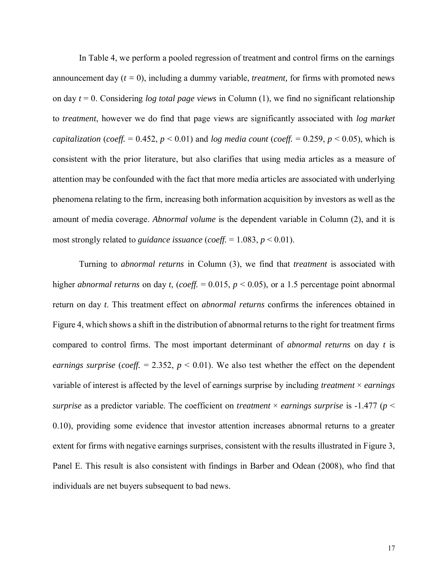In Table 4, we perform a pooled regression of treatment and control firms on the earnings announcement day (*t =* 0), including a dummy variable, *treatment,* for firms with promoted news on day *t* = 0. Considering *log total page views* in Column (1), we find no significant relationship to *treatment*, however we do find that page views are significantly associated with *log market capitalization* (*coeff.* = 0.452,  $p < 0.01$ ) and *log media count* (*coeff.* = 0.259,  $p < 0.05$ ), which is consistent with the prior literature, but also clarifies that using media articles as a measure of attention may be confounded with the fact that more media articles are associated with underlying phenomena relating to the firm, increasing both information acquisition by investors as well as the amount of media coverage. *Abnormal volume* is the dependent variable in Column (2), and it is most strongly related to *guidance issuance* (*coeff.*  $= 1.083, p \le 0.01$ ).

Turning to *abnormal returns* in Column (3), we find that *treatment* is associated with higher *abnormal returns* on day *t*, (*coeff.* = 0.015, *p* < 0.05), or a 1.5 percentage point abnormal return on day *t*. This treatment effect on *abnormal returns* confirms the inferences obtained in Figure 4, which shows a shift in the distribution of abnormal returns to the right for treatment firms compared to control firms. The most important determinant of *abnormal returns* on day *t* is *earnings surprise* (*coeff.* = 2.352,  $p < 0.01$ ). We also test whether the effect on the dependent variable of interest is affected by the level of earnings surprise by including *treatment* × *earnings surprise* as a predictor variable. The coefficient on *treatment*  $\times$  *earnings surprise* is -1.477 ( $p$  < 0.10), providing some evidence that investor attention increases abnormal returns to a greater extent for firms with negative earnings surprises, consistent with the results illustrated in Figure 3, Panel E. This result is also consistent with findings in Barber and Odean (2008), who find that individuals are net buyers subsequent to bad news.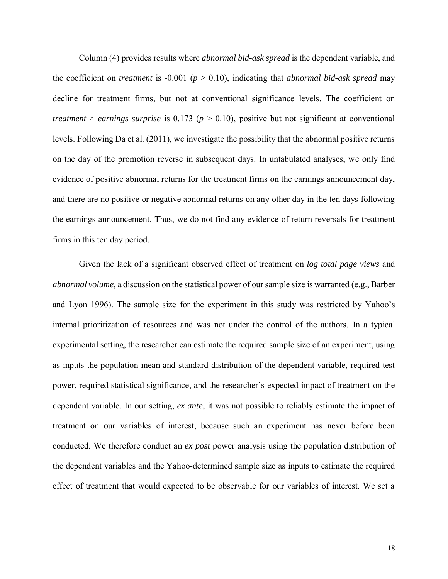Column (4) provides results where *abnormal bid-ask spread* is the dependent variable, and the coefficient on *treatment* is -0.001 ( $p > 0.10$ ), indicating that *abnormal bid-ask spread* may decline for treatment firms, but not at conventional significance levels. The coefficient on *treatment*  $\times$  *earnings surprise* is 0.173 ( $p > 0.10$ ), positive but not significant at conventional levels. Following Da et al. (2011), we investigate the possibility that the abnormal positive returns on the day of the promotion reverse in subsequent days. In untabulated analyses, we only find evidence of positive abnormal returns for the treatment firms on the earnings announcement day, and there are no positive or negative abnormal returns on any other day in the ten days following the earnings announcement. Thus, we do not find any evidence of return reversals for treatment firms in this ten day period.

Given the lack of a significant observed effect of treatment on *log total page views* and *abnormal volume*, a discussion on the statistical power of our sample size is warranted (e.g., Barber and Lyon 1996). The sample size for the experiment in this study was restricted by Yahoo's internal prioritization of resources and was not under the control of the authors. In a typical experimental setting, the researcher can estimate the required sample size of an experiment, using as inputs the population mean and standard distribution of the dependent variable, required test power, required statistical significance, and the researcher's expected impact of treatment on the dependent variable. In our setting, *ex ante*, it was not possible to reliably estimate the impact of treatment on our variables of interest, because such an experiment has never before been conducted. We therefore conduct an *ex post* power analysis using the population distribution of the dependent variables and the Yahoo-determined sample size as inputs to estimate the required effect of treatment that would expected to be observable for our variables of interest. We set a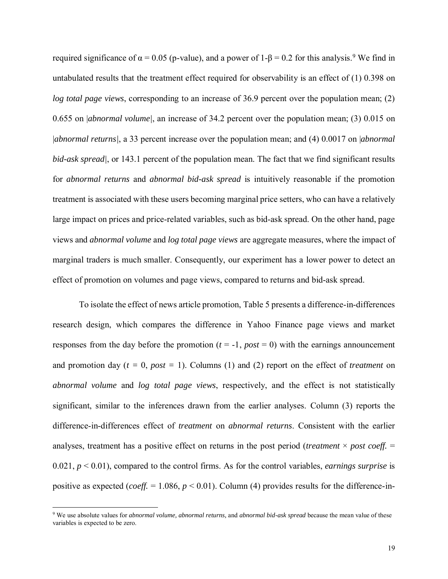required significance of  $\alpha = 0.05$  (p-value), and a power of  $1-\beta = 0.2$  for this analysis.<sup>9</sup> We find in untabulated results that the treatment effect required for observability is an effect of (1) 0.398 on *log total page views*, corresponding to an increase of 36.9 percent over the population mean; (2) 0.655 on |*abnormal volume|*, an increase of 34.2 percent over the population mean; (3) 0.015 on |*abnormal returns|*, a 33 percent increase over the population mean; and (4) 0.0017 on |*abnormal bid-ask spread|*, or 143.1 percent of the population mean. The fact that we find significant results for *abnormal returns* and *abnormal bid-ask spread* is intuitively reasonable if the promotion treatment is associated with these users becoming marginal price setters, who can have a relatively large impact on prices and price-related variables, such as bid-ask spread. On the other hand, page views and *abnormal volume* and *log total page views* are aggregate measures, where the impact of marginal traders is much smaller. Consequently, our experiment has a lower power to detect an effect of promotion on volumes and page views, compared to returns and bid-ask spread.

To isolate the effect of news article promotion, Table 5 presents a difference-in-differences research design, which compares the difference in Yahoo Finance page views and market responses from the day before the promotion  $(t = -1, post = 0)$  with the earnings announcement and promotion day  $(t = 0, post = 1)$ . Columns (1) and (2) report on the effect of *treatment* on *abnormal volume* and *log total page views*, respectively, and the effect is not statistically significant, similar to the inferences drawn from the earlier analyses. Column (3) reports the difference-in-differences effect of *treatment* on *abnormal returns*. Consistent with the earlier analyses, treatment has a positive effect on returns in the post period (*treatment*  $\times$  *post coeff.* = 0.021, *p* < 0.01), compared to the control firms. As for the control variables, *earnings surprise* is positive as expected (*coeff.* = 1.086,  $p < 0.01$ ). Column (4) provides results for the difference-in-

 $\overline{a}$ 

<sup>9</sup> We use absolute values for *abnormal volume, abnormal returns,* and *abnormal bid-ask spread* because the mean value of these variables is expected to be zero.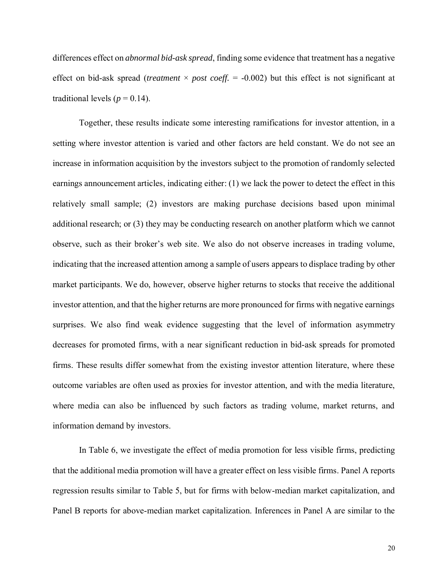differences effect on *abnormal bid-ask spread*, finding some evidence that treatment has a negative effect on bid-ask spread (*treatment*  $\times$  *post coeff.* = -0.002) but this effect is not significant at traditional levels ( $p = 0.14$ ).

Together, these results indicate some interesting ramifications for investor attention, in a setting where investor attention is varied and other factors are held constant. We do not see an increase in information acquisition by the investors subject to the promotion of randomly selected earnings announcement articles, indicating either: (1) we lack the power to detect the effect in this relatively small sample; (2) investors are making purchase decisions based upon minimal additional research; or (3) they may be conducting research on another platform which we cannot observe, such as their broker's web site. We also do not observe increases in trading volume, indicating that the increased attention among a sample of users appears to displace trading by other market participants. We do, however, observe higher returns to stocks that receive the additional investor attention, and that the higher returns are more pronounced for firms with negative earnings surprises. We also find weak evidence suggesting that the level of information asymmetry decreases for promoted firms, with a near significant reduction in bid-ask spreads for promoted firms. These results differ somewhat from the existing investor attention literature, where these outcome variables are often used as proxies for investor attention, and with the media literature, where media can also be influenced by such factors as trading volume, market returns, and information demand by investors.

In Table 6, we investigate the effect of media promotion for less visible firms, predicting that the additional media promotion will have a greater effect on less visible firms. Panel A reports regression results similar to Table 5, but for firms with below-median market capitalization, and Panel B reports for above-median market capitalization. Inferences in Panel A are similar to the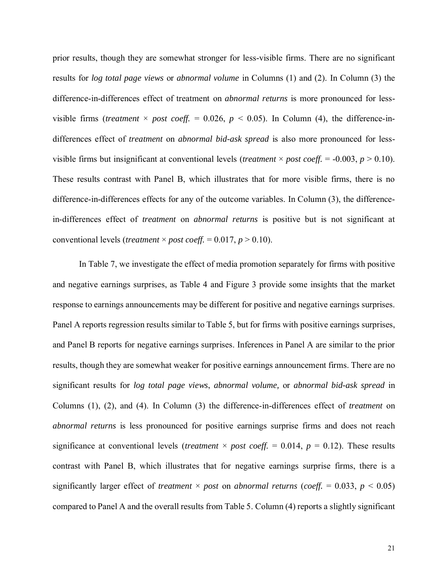prior results, though they are somewhat stronger for less-visible firms. There are no significant results for *log total page views* or *abnormal volume* in Columns (1) and (2). In Column (3) the difference-in-differences effect of treatment on *abnormal returns* is more pronounced for lessvisible firms (*treatment*  $\times$  *post coeff.* = 0.026,  $p \lt 0.05$ ). In Column (4), the difference-indifferences effect of *treatment* on *abnormal bid-ask spread* is also more pronounced for lessvisible firms but insignificant at conventional levels (*treatment*  $\times$  *post coeff.* = -0.003, *p*  $>$  0.10). These results contrast with Panel B, which illustrates that for more visible firms, there is no difference-in-differences effects for any of the outcome variables. In Column (3), the differencein-differences effect of *treatment* on *abnormal returns* is positive but is not significant at conventional levels (*treatment*  $\times$  *post coeff.* = 0.017, *p* > 0.10).

In Table 7, we investigate the effect of media promotion separately for firms with positive and negative earnings surprises, as Table 4 and Figure 3 provide some insights that the market response to earnings announcements may be different for positive and negative earnings surprises. Panel A reports regression results similar to Table 5, but for firms with positive earnings surprises, and Panel B reports for negative earnings surprises. Inferences in Panel A are similar to the prior results, though they are somewhat weaker for positive earnings announcement firms. There are no significant results for *log total page views*, *abnormal volume,* or *abnormal bid-ask spread* in Columns (1), (2), and (4). In Column (3) the difference-in-differences effect of *treatment* on *abnormal returns* is less pronounced for positive earnings surprise firms and does not reach significance at conventional levels (*treatment*  $\times$  *post coeff.* = 0.014, *p* = 0.12). These results contrast with Panel B, which illustrates that for negative earnings surprise firms, there is a significantly larger effect of *treatment*  $\times$  *post* on *abnormal returns* (*coeff.* = 0.033, *p* < 0.05) compared to Panel A and the overall results from Table 5. Column (4) reports a slightly significant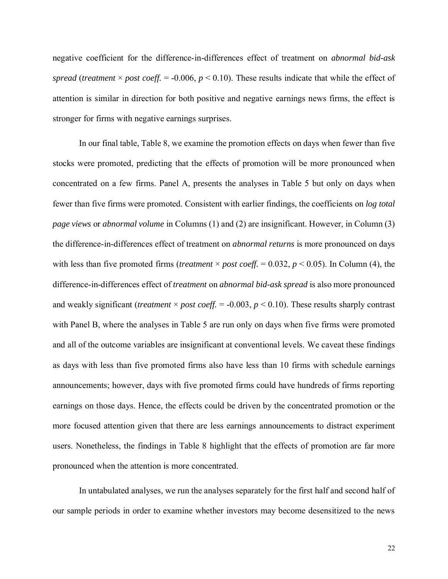negative coefficient for the difference-in-differences effect of treatment on *abnormal bid-ask spread* (*treatment*  $\times$  *post coeff.* = -0.006,  $p$  < 0.10). These results indicate that while the effect of attention is similar in direction for both positive and negative earnings news firms, the effect is stronger for firms with negative earnings surprises.

In our final table, Table 8, we examine the promotion effects on days when fewer than five stocks were promoted, predicting that the effects of promotion will be more pronounced when concentrated on a few firms. Panel A, presents the analyses in Table 5 but only on days when fewer than five firms were promoted. Consistent with earlier findings, the coefficients on *log total page views* or *abnormal volume* in Columns (1) and (2) are insignificant. However, in Column (3) the difference-in-differences effect of treatment on *abnormal returns* is more pronounced on days with less than five promoted firms (*treatment*  $\times$  *post coeff.* = 0.032, *p* < 0.05). In Column (4), the difference-in-differences effect of *treatment* on *abnormal bid-ask spread* is also more pronounced and weakly significant (*treatment*  $\times$  *post coeff.* = -0.003,  $p$  < 0.10). These results sharply contrast with Panel B, where the analyses in Table 5 are run only on days when five firms were promoted and all of the outcome variables are insignificant at conventional levels. We caveat these findings as days with less than five promoted firms also have less than 10 firms with schedule earnings announcements; however, days with five promoted firms could have hundreds of firms reporting earnings on those days. Hence, the effects could be driven by the concentrated promotion or the more focused attention given that there are less earnings announcements to distract experiment users. Nonetheless, the findings in Table 8 highlight that the effects of promotion are far more pronounced when the attention is more concentrated.

In untabulated analyses, we run the analyses separately for the first half and second half of our sample periods in order to examine whether investors may become desensitized to the news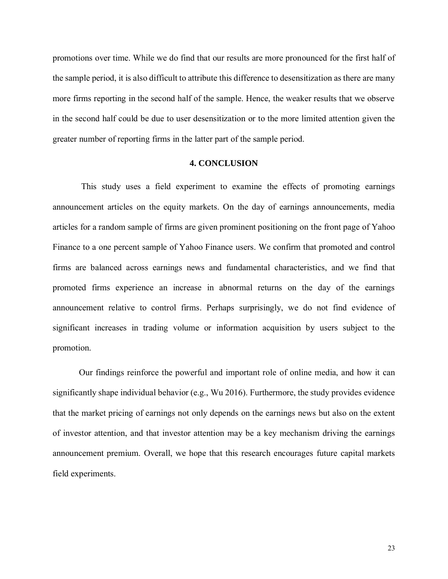promotions over time. While we do find that our results are more pronounced for the first half of the sample period, it is also difficult to attribute this difference to desensitization as there are many more firms reporting in the second half of the sample. Hence, the weaker results that we observe in the second half could be due to user desensitization or to the more limited attention given the greater number of reporting firms in the latter part of the sample period.

# **4. CONCLUSION**

This study uses a field experiment to examine the effects of promoting earnings announcement articles on the equity markets. On the day of earnings announcements, media articles for a random sample of firms are given prominent positioning on the front page of Yahoo Finance to a one percent sample of Yahoo Finance users. We confirm that promoted and control firms are balanced across earnings news and fundamental characteristics, and we find that promoted firms experience an increase in abnormal returns on the day of the earnings announcement relative to control firms. Perhaps surprisingly, we do not find evidence of significant increases in trading volume or information acquisition by users subject to the promotion.

Our findings reinforce the powerful and important role of online media, and how it can significantly shape individual behavior (e.g., Wu 2016). Furthermore, the study provides evidence that the market pricing of earnings not only depends on the earnings news but also on the extent of investor attention, and that investor attention may be a key mechanism driving the earnings announcement premium. Overall, we hope that this research encourages future capital markets field experiments.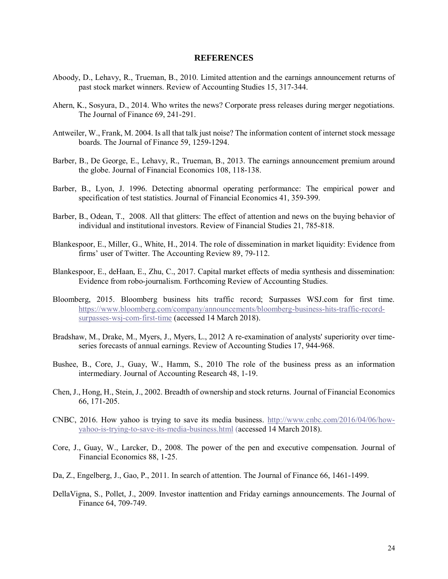## **REFERENCES**

- Aboody, D., Lehavy, R., Trueman, B., 2010. Limited attention and the earnings announcement returns of past stock market winners. Review of Accounting Studies 15, 317-344.
- Ahern, K., Sosyura, D., 2014. Who writes the news? Corporate press releases during merger negotiations. The Journal of Finance 69, 241-291.
- Antweiler, W., Frank, M. 2004. Is all that talk just noise? The information content of internet stock message boards. The Journal of Finance 59, 1259-1294.
- Barber, B., De George, E., Lehavy, R., Trueman, B., 2013. The earnings announcement premium around the globe. Journal of Financial Economics 108, 118-138.
- Barber, B., Lyon, J. 1996. Detecting abnormal operating performance: The empirical power and specification of test statistics. Journal of Financial Economics 41, 359-399.
- Barber, B., Odean, T., 2008. All that glitters: The effect of attention and news on the buying behavior of individual and institutional investors. Review of Financial Studies 21, 785-818.
- Blankespoor, E., Miller, G., White, H., 2014. The role of dissemination in market liquidity: Evidence from firms' user of Twitter. The Accounting Review 89, 79-112.
- Blankespoor, E., deHaan, E., Zhu, C., 2017. Capital market effects of media synthesis and dissemination: Evidence from robo-journalism. Forthcoming Review of Accounting Studies.
- Bloomberg, 2015. Bloomberg business hits traffic record; Surpasses WSJ.com for first time. [https://www.bloomberg.com/company/announcements/bloomberg-business-hits-traffic-record](https://www.bloomberg.com/company/announcements/bloomberg-business-hits-traffic-record-surpasses-wsj-com-first-time)[surpasses-wsj-com-first-time](https://www.bloomberg.com/company/announcements/bloomberg-business-hits-traffic-record-surpasses-wsj-com-first-time) (accessed 14 March 2018).
- Bradshaw, M., Drake, M., Myers, J., Myers, L., 2012 A re-examination of analysts' superiority over timeseries forecasts of annual earnings. Review of Accounting Studies 17, 944-968.
- Bushee, B., Core, J., Guay, W., Hamm, S., 2010 The role of the business press as an information intermediary. Journal of Accounting Research 48, 1-19.
- Chen, J., Hong, H., Stein, J., 2002. Breadth of ownership and stock returns. Journal of Financial Economics 66, 171-205.
- CNBC, 2016. How yahoo is trying to save its media business. [http://www.cnbc.com/2016/04/06/how](http://www.cnbc.com/2016/04/06/how-yahoo-is-trying-to-save-its-media-business.html)[yahoo-is-trying-to-save-its-media-business.html](http://www.cnbc.com/2016/04/06/how-yahoo-is-trying-to-save-its-media-business.html) (accessed 14 March 2018).
- Core, J., Guay, W., Larcker, D., 2008. The power of the pen and executive compensation. Journal of Financial Economics 88, 1-25.
- Da, Z., Engelberg, J., Gao, P., 2011. In search of attention. The Journal of Finance 66, 1461-1499.
- DellaVigna, S., Pollet, J., 2009. Investor inattention and Friday earnings announcements. The Journal of Finance 64, 709-749.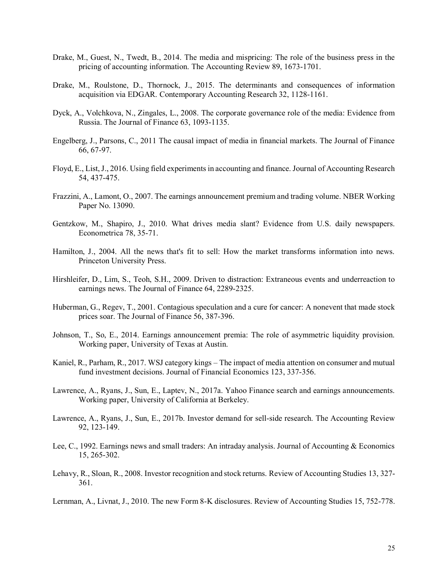- Drake, M., Guest, N., Twedt, B., 2014. The media and mispricing: The role of the business press in the pricing of accounting information. The Accounting Review 89, 1673-1701.
- Drake, M., Roulstone, D., Thornock, J., 2015. The determinants and consequences of information acquisition via EDGAR. Contemporary Accounting Research 32, 1128-1161.
- Dyck, A., Volchkova, N., Zingales, L., 2008. The corporate governance role of the media: Evidence from Russia. The Journal of Finance 63, 1093-1135.
- Engelberg, J., Parsons, C., 2011 The causal impact of media in financial markets. The Journal of Finance 66, 67-97.
- Floyd, E., List, J., 2016. Using field experiments in accounting and finance. Journal of Accounting Research 54, 437-475.
- Frazzini, A., Lamont, O., 2007. The earnings announcement premium and trading volume. NBER Working Paper No. 13090.
- Gentzkow, M., Shapiro, J., 2010. What drives media slant? Evidence from U.S. daily newspapers. Econometrica 78, 35-71.
- Hamilton, J., 2004. All the news that's fit to sell: How the market transforms information into news. Princeton University Press.
- Hirshleifer, D., Lim, S., Teoh, S.H., 2009. Driven to distraction: Extraneous events and underreaction to earnings news. The Journal of Finance 64, 2289-2325.
- Huberman, G., Regev, T., 2001. Contagious speculation and a cure for cancer: A nonevent that made stock prices soar. The Journal of Finance 56, 387-396.
- Johnson, T., So, E., 2014. Earnings announcement premia: The role of asymmetric liquidity provision. Working paper, University of Texas at Austin.
- Kaniel, R., Parham, R., 2017. WSJ category kings The impact of media attention on consumer and mutual fund investment decisions. Journal of Financial Economics 123, 337-356.
- Lawrence, A., Ryans, J., Sun, E., Laptev, N., 2017a. Yahoo Finance search and earnings announcements. Working paper, University of California at Berkeley.
- Lawrence, A., Ryans, J., Sun, E., 2017b. Investor demand for sell-side research. The Accounting Review 92, 123-149.
- Lee, C., 1992. Earnings news and small traders: An intraday analysis. Journal of Accounting & Economics 15, 265-302.
- Lehavy, R., Sloan, R., 2008. Investor recognition and stock returns. Review of Accounting Studies 13, 327- 361.

Lernman, A., Livnat, J., 2010. The new Form 8-K disclosures. Review of Accounting Studies 15, 752-778.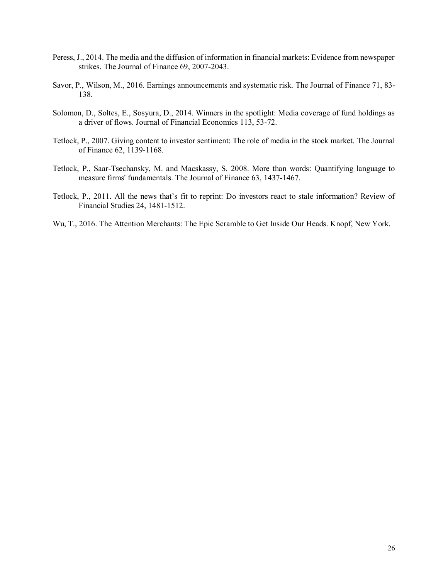- Peress, J., 2014. The media and the diffusion of information in financial markets: Evidence from newspaper strikes. The Journal of Finance 69, 2007-2043.
- Savor, P., Wilson, M., 2016. Earnings announcements and systematic risk. The Journal of Finance 71, 83- 138.
- Solomon, D., Soltes, E., Sosyura, D., 2014. Winners in the spotlight: Media coverage of fund holdings as a driver of flows. Journal of Financial Economics 113, 53-72.
- Tetlock, P., 2007. Giving content to investor sentiment: The role of media in the stock market. The Journal of Finance 62, 1139-1168.
- Tetlock, P., Saar-Tsechansky, M. and Macskassy, S. 2008. More than words: Quantifying language to measure firms' fundamentals. The Journal of Finance 63, 1437-1467.
- Tetlock, P., 2011. All the news that's fit to reprint: Do investors react to stale information? Review of Financial Studies 24, 1481-1512.
- Wu, T., 2016. The Attention Merchants: The Epic Scramble to Get Inside Our Heads. Knopf, New York.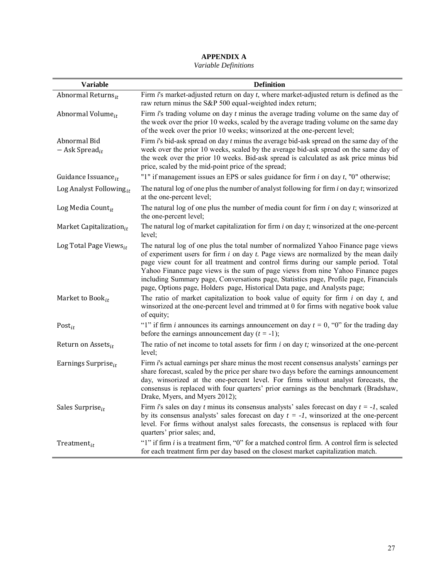# **APPENDIX A**

*Variable Definitions*

| <b>Variable</b>                              | <b>Definition</b>                                                                                                                                                                                                                                                                                                                                                                                                                                                                                                                 |
|----------------------------------------------|-----------------------------------------------------------------------------------------------------------------------------------------------------------------------------------------------------------------------------------------------------------------------------------------------------------------------------------------------------------------------------------------------------------------------------------------------------------------------------------------------------------------------------------|
| Abnormal Returns <sub>it</sub>               | Firm $i$ 's market-adjusted return on day $t$ , where market-adjusted return is defined as the<br>raw return minus the S&P 500 equal-weighted index return;                                                                                                                                                                                                                                                                                                                                                                       |
| Abnormal Volume <sub>it</sub>                | Firm $i$ 's trading volume on day $t$ minus the average trading volume on the same day of<br>the week over the prior 10 weeks, scaled by the average trading volume on the same day<br>of the week over the prior 10 weeks; winsorized at the one-percent level;                                                                                                                                                                                                                                                                  |
| Abnormal Bid<br>$-$ Ask Spread <sub>it</sub> | Firm $i$ 's bid-ask spread on day $t$ minus the average bid-ask spread on the same day of the<br>week over the prior 10 weeks, scaled by the average bid-ask spread on the same day of<br>the week over the prior 10 weeks. Bid-ask spread is calculated as ask price minus bid<br>price, scaled by the mid-point price of the spread;                                                                                                                                                                                            |
| Guidance Issuance $_{it}$                    | "1" if management issues an EPS or sales guidance for firm $i$ on day $t$ , "0" otherwise;                                                                                                                                                                                                                                                                                                                                                                                                                                        |
| Log Analyst Following $_{it}$                | The natural log of one plus the number of analyst following for firm $i$ on day $t$ ; winsorized<br>at the one-percent level;                                                                                                                                                                                                                                                                                                                                                                                                     |
| Log Media Count <sub>it</sub>                | The natural log of one plus the number of media count for firm $i$ on day $t$ ; winsorized at<br>the one-percent level;                                                                                                                                                                                                                                                                                                                                                                                                           |
| Market Capitalization <sub>it</sub>          | The natural log of market capitalization for firm $i$ on day $t$ ; winsorized at the one-percent<br>level;                                                                                                                                                                                                                                                                                                                                                                                                                        |
| Log Total Page Views $_{it}$                 | The natural log of one plus the total number of normalized Yahoo Finance page views<br>of experiment users for firm $i$ on day $t$ . Page views are normalized by the mean daily<br>page view count for all treatment and control firms during our sample period. Total<br>Yahoo Finance page views is the sum of page views from nine Yahoo Finance pages<br>including Summary page, Conversations page, Statistics page, Profile page, Financials<br>page, Options page, Holders page, Historical Data page, and Analysts page; |
| Market to Book <sub>it</sub>                 | The ratio of market capitalization to book value of equity for firm $i$ on day $t$ , and<br>winsorized at the one-percent level and trimmed at 0 for firms with negative book value<br>of equity;                                                                                                                                                                                                                                                                                                                                 |
| Post $_{it}$                                 | "1" if firm <i>i</i> announces its earnings announcement on day $t = 0$ , "0" for the trading day<br>before the earnings announcement day $(t = -1)$ ;                                                                                                                                                                                                                                                                                                                                                                            |
| Return on Assets $_{it}$                     | The ratio of net income to total assets for firm $i$ on day $t$ ; winsorized at the one-percent<br>level;                                                                                                                                                                                                                                                                                                                                                                                                                         |
| Earnings Surprise <sub>it</sub>              | Firm i's actual earnings per share minus the most recent consensus analysts' earnings per<br>share forecast, scaled by the price per share two days before the earnings announcement<br>day, winsorized at the one-percent level. For firms without analyst forecasts, the<br>consensus is replaced with four quarters' prior earnings as the benchmark (Bradshaw,<br>Drake, Myers, and Myers 2012);                                                                                                                              |
| Sales Surprise $_{it}$                       | Firm i's sales on day t minus its consensus analysts' sales forecast on day $t = -1$ , scaled<br>by its consensus analysts' sales forecast on day $t = -1$ , winsorized at the one-percent<br>level. For firms without analyst sales forecasts, the consensus is replaced with four<br>quarters' prior sales; and,                                                                                                                                                                                                                |
| Treatment $_{it}$                            | "1" if firm $i$ is a treatment firm, "0" for a matched control firm. A control firm is selected<br>for each treatment firm per day based on the closest market capitalization match.                                                                                                                                                                                                                                                                                                                                              |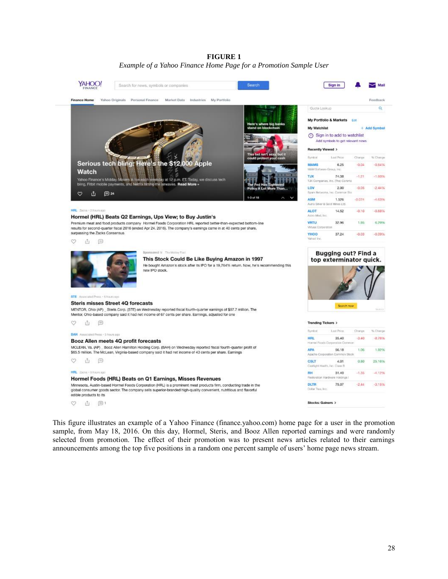#### **FIGURE 1** *Example of a Yahoo Finance Home Page for a Promotion Sample User*



This figure illustrates an example of a Yahoo Finance (finance.yahoo.com) home page for a user in the promotion sample, from May 18, 2016. On this day, Hormel, Steris, and Booz Allen reported earnings and were randomly selected from promotion. The effect of their promotion was to present news articles related to their earnings announcements among the top five positions in a random one percent sample of users' home page news stream.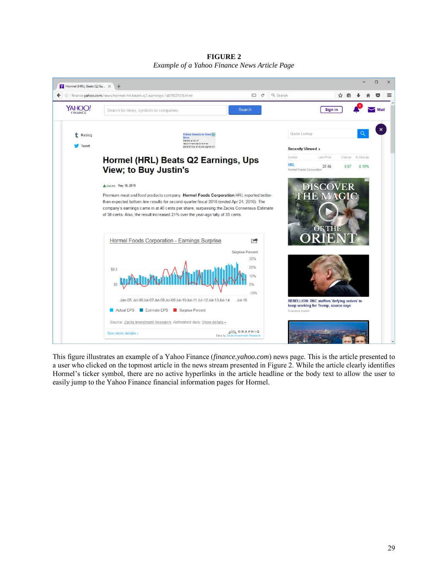

**FIGURE 2** *Example of a Yahoo Finance News Article Page*

This figure illustrates an example of a Yahoo Finance (*finance.yahoo.com*) news page. This is the article presented to a user who clicked on the topmost article in the news stream presented in Figure 2. While the article clearly identifies Hormel's ticker symbol, there are no active hyperlinks in the article headline or the body text to allow the user to easily jump to the Yahoo Finance financial information pages for Hormel.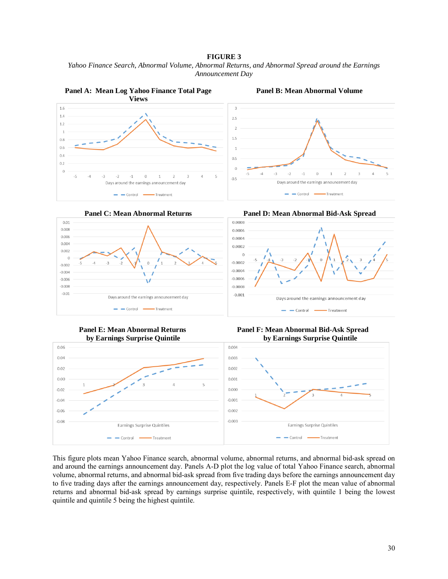#### **FIGURE 3**





#### **Panel B: Mean Abnormal Volume**











This figure plots mean Yahoo Finance search, abnormal volume, abnormal returns, and abnormal bid-ask spread on and around the earnings announcement day. Panels A-D plot the log value of total Yahoo Finance search, abnormal volume, abnormal returns, and abnormal bid-ask spread from five trading days before the earnings announcement day to five trading days after the earnings announcement day, respectively. Panels E-F plot the mean value of abnormal returns and abnormal bid-ask spread by earnings surprise quintile, respectively, with quintile 1 being the lowest quintile and quintile 5 being the highest quintile.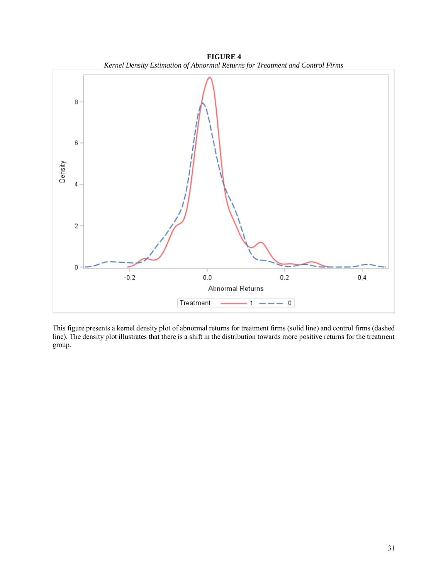

This figure presents a kernel density plot of abnormal returns for treatment firms (solid line) and control firms (dashed line). The density plot illustrates that there is a shift in the distribution towards more positive returns for the treatment group.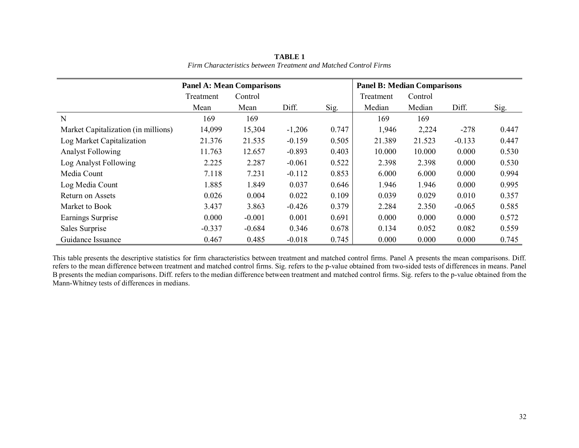|                                     | <b>Panel A: Mean Comparisons</b> |          |          |       | <b>Panel B: Median Comparisons</b> |         |          |       |
|-------------------------------------|----------------------------------|----------|----------|-------|------------------------------------|---------|----------|-------|
|                                     | Treatment                        | Control  |          |       | Treatment                          | Control |          |       |
|                                     | Mean                             | Mean     | Diff.    | Sig.  | Median                             | Median  | Diff.    | Sig.  |
| N                                   | 169                              | 169      |          |       | 169                                | 169     |          |       |
| Market Capitalization (in millions) | 14,099                           | 15,304   | $-1,206$ | 0.747 | 1,946                              | 2,224   | $-278$   | 0.447 |
| Log Market Capitalization           | 21.376                           | 21.535   | $-0.159$ | 0.505 | 21.389                             | 21.523  | $-0.133$ | 0.447 |
| <b>Analyst Following</b>            | 11.763                           | 12.657   | $-0.893$ | 0.403 | 10.000                             | 10.000  | 0.000    | 0.530 |
| Log Analyst Following               | 2.225                            | 2.287    | $-0.061$ | 0.522 | 2.398                              | 2.398   | 0.000    | 0.530 |
| Media Count                         | 7.118                            | 7.231    | $-0.112$ | 0.853 | 6.000                              | 6.000   | 0.000    | 0.994 |
| Log Media Count                     | 1.885                            | 1.849    | 0.037    | 0.646 | 1.946                              | 1.946   | 0.000    | 0.995 |
| Return on Assets                    | 0.026                            | 0.004    | 0.022    | 0.109 | 0.039                              | 0.029   | 0.010    | 0.357 |
| Market to Book                      | 3.437                            | 3.863    | $-0.426$ | 0.379 | 2.284                              | 2.350   | $-0.065$ | 0.585 |
| Earnings Surprise                   | 0.000                            | $-0.001$ | 0.001    | 0.691 | 0.000                              | 0.000   | 0.000    | 0.572 |
| Sales Surprise                      | $-0.337$                         | $-0.684$ | 0.346    | 0.678 | 0.134                              | 0.052   | 0.082    | 0.559 |
| Guidance Issuance                   | 0.467                            | 0.485    | $-0.018$ | 0.745 | 0.000                              | 0.000   | 0.000    | 0.745 |

**TABLE 1** *Firm Characteristics between Treatment and Matched Control Firms*

This table presents the descriptive statistics for firm characteristics between treatment and matched control firms. Panel A presents the mean comparisons. Diff. refers to the mean difference between treatment and matched control firms. Sig. refers to the p-value obtained from two-sided tests of differences in means. Panel B presents the median comparisons. Diff. refers to the median difference between treatment and matched control firms. Sig. refers to the p-value obtained from the Mann-Whitney tests of differences in medians.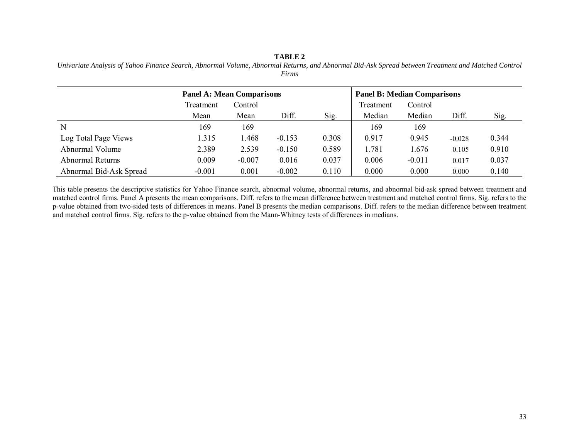**TABLE 2** *Univariate Analysis of Yahoo Finance Search, Abnormal Volume, Abnormal Returns, and Abnormal Bid-Ask Spread between Treatment and Matched Control Firms*

|                         | <b>Panel A: Mean Comparisons</b> |             |          | <b>Panel B: Median Comparisons</b> |           |          |          |       |
|-------------------------|----------------------------------|-------------|----------|------------------------------------|-----------|----------|----------|-------|
|                         | Treatment                        | Control     |          |                                    | Treatment | Control  |          |       |
|                         | Mean                             | Mean        | Diff.    | Sig.                               | Median    | Median   | Diff.    | Sig.  |
| N                       | 169                              | 169         |          |                                    | 169       | 169      |          |       |
| Log Total Page Views    | 1.315                            | <b>.468</b> | $-0.153$ | 0.308                              | 0.917     | 0.945    | $-0.028$ | 0.344 |
| Abnormal Volume         | 2.389                            | 2.539       | $-0.150$ | 0.589                              | 1.781     | 1.676    | 0.105    | 0.910 |
| <b>Abnormal Returns</b> | 0.009                            | $-0.007$    | 0.016    | 0.037                              | 0.006     | $-0.011$ | 0.017    | 0.037 |
| Abnormal Bid-Ask Spread | $-0.001$                         | 0.001       | $-0.002$ | 0.110                              | 0.000     | 0.000    | 0.000    | 0.140 |

This table presents the descriptive statistics for Yahoo Finance search, abnormal volume, abnormal returns, and abnormal bid-ask spread between treatment and matched control firms. Panel A presents the mean comparisons. Diff. refers to the mean difference between treatment and matched control firms. Sig. refers to the p-value obtained from two-sided tests of differences in means. Panel B presents the median comparisons. Diff. refers to the median difference between treatment and matched control firms. Sig. refers to the p-value obtained from the Mann-Whitney tests of differences in medians.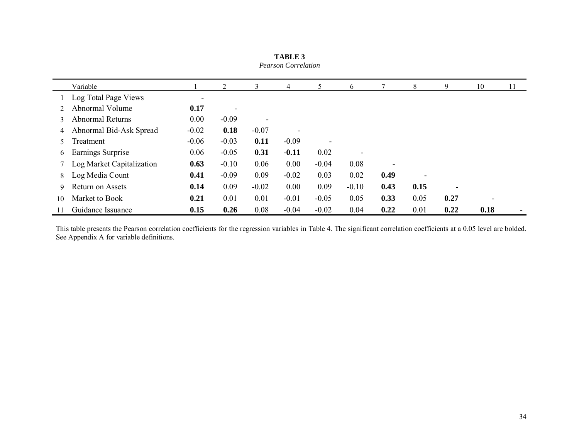|               | Variable                  |                          | 2       | 3       | 4       | 5       | 6       |      | 8    | 9                        | 10                       | 11 |
|---------------|---------------------------|--------------------------|---------|---------|---------|---------|---------|------|------|--------------------------|--------------------------|----|
|               | Log Total Page Views      | $\overline{\phantom{a}}$ |         |         |         |         |         |      |      |                          |                          |    |
|               | Abnormal Volume           | 0.17                     |         |         |         |         |         |      |      |                          |                          |    |
| $\mathcal{E}$ | Abnormal Returns          | 0.00                     | $-0.09$ |         |         |         |         |      |      |                          |                          |    |
| 4             | Abnormal Bid-Ask Spread   | $-0.02$                  | 0.18    | $-0.07$ |         |         |         |      |      |                          |                          |    |
| 5.            | Treatment                 | $-0.06$                  | $-0.03$ | 0.11    | $-0.09$ |         |         |      |      |                          |                          |    |
| 6             | Earnings Surprise         | 0.06                     | $-0.05$ | 0.31    | $-0.11$ | 0.02    |         |      |      |                          |                          |    |
|               | Log Market Capitalization | 0.63                     | $-0.10$ | 0.06    | 0.00    | $-0.04$ | 0.08    |      |      |                          |                          |    |
| 8             | Log Media Count           | 0.41                     | $-0.09$ | 0.09    | $-0.02$ | 0.03    | 0.02    | 0.49 |      |                          |                          |    |
| 9.            | Return on Assets          | 0.14                     | 0.09    | $-0.02$ | 0.00    | 0.09    | $-0.10$ | 0.43 | 0.15 | $\overline{\phantom{0}}$ |                          |    |
| 10            | Market to Book            | 0.21                     | 0.01    | 0.01    | $-0.01$ | $-0.05$ | 0.05    | 0.33 | 0.05 | 0.27                     | $\overline{\phantom{0}}$ |    |
| 11            | Guidance Issuance         | 0.15                     | 0.26    | 0.08    | $-0.04$ | $-0.02$ | 0.04    | 0.22 | 0.01 | 0.22                     | 0.18                     |    |

**TABLE 3** *Pearson Correlation*

This table presents the Pearson correlation coefficients for the regression variables in Table 4. The significant correlation coefficients at a 0.05 level are bolded. See Appendix A for variable definitions.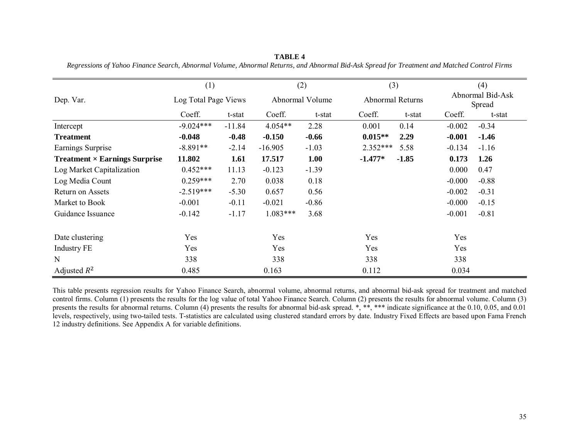|                             | (1)                  |          |            | (2)             | (3)              |         |          | (4)                        |
|-----------------------------|----------------------|----------|------------|-----------------|------------------|---------|----------|----------------------------|
| Dep. Var.                   | Log Total Page Views |          |            | Abnormal Volume | Abnormal Returns |         |          | Abnormal Bid-Ask<br>Spread |
|                             | Coeff.               | t-stat   | Coeff.     | t-stat          | Coeff.           | t-stat  | Coeff.   | t-stat                     |
| Intercept                   | $-9.024***$          | $-11.84$ | $4.054**$  | 2.28            | 0.001            | 0.14    | $-0.002$ | $-0.34$                    |
| <b>Treatment</b>            | $-0.048$             | $-0.48$  | $-0.150$   | $-0.66$         | $0.015**$        | 2.29    | $-0.001$ | $-1.46$                    |
| Earnings Surprise           | $-8.891**$           | $-2.14$  | $-16.905$  | $-1.03$         | $2.352***$       | 5.58    | $-0.134$ | $-1.16$                    |
| $Treatment \times EarningS$ | 11.802               | 1.61     | 17.517     | 1.00            | $-1.477*$        | $-1.85$ | 0.173    | 1.26                       |
| Log Market Capitalization   | $0.452***$           | 11.13    | $-0.123$   | $-1.39$         |                  |         | 0.000    | 0.47                       |
| Log Media Count             | $0.259***$           | 2.70     | 0.038      | 0.18            |                  |         | $-0.000$ | $-0.88$                    |
| Return on Assets            | $-2.519***$          | $-5.30$  | 0.657      | 0.56            |                  |         | $-0.002$ | $-0.31$                    |
| Market to Book              | $-0.001$             | $-0.11$  | $-0.021$   | $-0.86$         |                  |         | $-0.000$ | $-0.15$                    |
| Guidance Issuance           | $-0.142$             | $-1.17$  | $1.083***$ | 3.68            |                  |         | $-0.001$ | $-0.81$                    |
| Date clustering             | Yes                  |          | Yes        |                 | Yes              |         | Yes      |                            |
| <b>Industry FE</b>          | Yes                  |          | Yes        |                 | Yes              |         | Yes      |                            |
| N                           | 338                  |          | 338        |                 | 338              |         | 338      |                            |
| Adjusted $R^2$              | 0.485                |          | 0.163      |                 | 0.112            |         | 0.034    |                            |

**TABLE 4** *Regressions of Yahoo Finance Search, Abnormal Volume, Abnormal Returns, and Abnormal Bid-Ask Spread for Treatment and Matched Control Firms*

This table presents regression results for Yahoo Finance Search, abnormal volume, abnormal returns, and abnormal bid-ask spread for treatment and matched control firms. Column (1) presents the results for the log value of total Yahoo Finance Search. Column (2) presents the results for abnormal volume. Column (3) presents the results for abnormal returns. Column (4) presents the results for abnormal bid-ask spread. \*, \*\*, \*\*\* indicate significance at the 0.10, 0.05, and 0.01 levels, respectively, using two-tailed tests. T-statistics are calculated using clustered standard errors by date. Industry Fixed Effects are based upon Fama French 12 industry definitions. See Appendix A for variable definitions.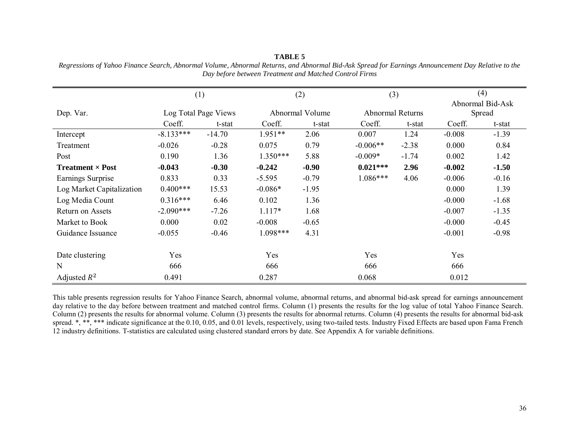|                           |             | (1)                  |            | (2)             | (3)                     |         | (4)      |                  |
|---------------------------|-------------|----------------------|------------|-----------------|-------------------------|---------|----------|------------------|
|                           |             |                      |            |                 |                         |         |          | Abnormal Bid-Ask |
| Dep. Var.                 |             | Log Total Page Views |            | Abnormal Volume | <b>Abnormal Returns</b> |         | Spread   |                  |
|                           | Coeff.      | t-stat               | Coeff.     | t-stat          | Coeff.                  | t-stat  | Coeff.   | t-stat           |
| Intercept                 | $-8.133***$ | $-14.70$             | $1.951**$  | 2.06            | 0.007                   | 1.24    | $-0.008$ | $-1.39$          |
| Treatment                 | $-0.026$    | $-0.28$              | 0.075      | 0.79            | $-0.006**$              | $-2.38$ | 0.000    | 0.84             |
| Post                      | 0.190       | 1.36                 | $1.350***$ | 5.88            | $-0.009*$               | $-1.74$ | 0.002    | 1.42             |
| $Treatment \times Post$   | $-0.043$    | $-0.30$              | $-0.242$   | $-0.90$         | $0.021***$              | 2.96    | $-0.002$ | $-1.50$          |
| Earnings Surprise         | 0.833       | 0.33                 | $-5.595$   | $-0.79$         | $1.086***$              | 4.06    | $-0.006$ | $-0.16$          |
| Log Market Capitalization | $0.400***$  | 15.53                | $-0.086*$  | $-1.95$         |                         |         | 0.000    | 1.39             |
| Log Media Count           | $0.316***$  | 6.46                 | 0.102      | 1.36            |                         |         | $-0.000$ | $-1.68$          |
| Return on Assets          | $-2.090***$ | $-7.26$              | $1.117*$   | 1.68            |                         |         | $-0.007$ | $-1.35$          |
| Market to Book            | 0.000       | 0.02                 | $-0.008$   | $-0.65$         |                         |         | $-0.000$ | $-0.45$          |
| Guidance Issuance         | $-0.055$    | $-0.46$              | $1.098***$ | 4.31            |                         |         | $-0.001$ | $-0.98$          |
| Date clustering           | Yes         |                      | Yes        |                 | Yes                     |         | Yes      |                  |
| N                         | 666         |                      | 666        |                 | 666                     |         | 666      |                  |
| Adjusted $R^2$            | 0.491       |                      | 0.287      |                 | 0.068                   |         | 0.012    |                  |

**TABLE 5** *Regressions of Yahoo Finance Search, Abnormal Volume, Abnormal Returns, and Abnormal Bid-Ask Spread for Earnings Announcement Day Relative to the Day before between Treatment and Matched Control Firms*

This table presents regression results for Yahoo Finance Search, abnormal volume, abnormal returns, and abnormal bid-ask spread for earnings announcement day relative to the day before between treatment and matched control firms. Column (1) presents the results for the log value of total Yahoo Finance Search. Column (2) presents the results for abnormal volume. Column (3) presents the results for abnormal returns. Column (4) presents the results for abnormal bid-ask spread. \*, \*\*, \*\*\* indicate significance at the 0.10, 0.05, and 0.01 levels, respectively, using two-tailed tests. Industry Fixed Effects are based upon Fama French 12 industry definitions. T-statistics are calculated using clustered standard errors by date. See Appendix A for variable definitions.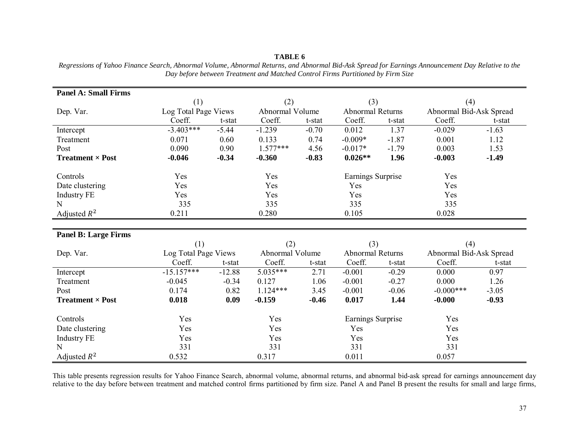| <b>Panel A: Small Firms</b>    |                      |          |                 |         |                   |         |                         |         |
|--------------------------------|----------------------|----------|-----------------|---------|-------------------|---------|-------------------------|---------|
|                                | (1)                  |          | (2)             |         | (3)               |         | (4)                     |         |
| Dep. Var.                      | Log Total Page Views |          | Abnormal Volume |         | Abnormal Returns  |         | Abnormal Bid-Ask Spread |         |
|                                | Coeff.               | t-stat   | Coeff.          | t-stat  | Coeff.            | t-stat  | Coeff.                  | t-stat  |
| Intercept                      | $-3.403***$          | $-5.44$  | $-1.239$        | $-0.70$ | 0.012             | 1.37    | $-0.029$                | $-1.63$ |
| Treatment                      | 0.071                | 0.60     | 0.133           | 0.74    | $-0.009*$         | $-1.87$ | 0.001                   | 1.12    |
| Post                           | 0.090                | 0.90     | $1.577***$      | 4.56    | $-0.017*$         | $-1.79$ | 0.003                   | 1.53    |
| $Treatment \times Post$        | $-0.046$             | $-0.34$  | $-0.360$        | $-0.83$ | $0.026**$         | 1.96    | $-0.003$                | $-1.49$ |
| Controls                       | Yes                  |          | Yes             |         | Earnings Surprise |         | Yes                     |         |
| Date clustering                | Yes                  |          | Yes             |         |                   |         | Yes                     |         |
| <b>Industry FE</b>             | Yes                  |          | Yes             |         | Yes               |         | Yes                     |         |
| N                              | 335                  |          | 335             |         | 335               |         | 335                     |         |
| Adjusted $R^2$                 | 0.211                |          | 0.280           |         |                   |         | 0.028                   |         |
| <b>Panel B: Large Firms</b>    |                      |          |                 |         |                   |         |                         |         |
|                                | (1)                  |          | (2)             |         | (3)               |         | (4)                     |         |
| Dep. Var.                      | Log Total Page Views |          | Abnormal Volume |         | Abnormal Returns  |         | Abnormal Bid-Ask Spread |         |
|                                | Coeff.               | t-stat   | Coeff.          | t-stat  | Coeff.            | t-stat  | Coeff.                  | t-stat  |
| Intercept                      | $-15.157***$         | $-12.88$ | $5.035***$      | 2.71    | $-0.001$          | $-0.29$ | 0.000                   | 0.97    |
| Treatment                      | $-0.045$             | $-0.34$  | 0.127           | 1.06    | $-0.001$          | $-0.27$ | 0.000                   | 1.26    |
| Post                           | 0.174                | 0.82     | $1.124***$      | 3.45    | $-0.001$          | $-0.06$ | $-0.000$ ***            | $-3.05$ |
| <b>Treatment</b> $\times$ Post | 0.018                | 0.09     | $-0.159$        | $-0.46$ | 0.017             | 1.44    | $-0.000$                | $-0.93$ |
| Controls                       | Yes                  |          | Yes             |         | Earnings Surprise |         | Yes                     |         |

**TABLE 6** *Regressions of Yahoo Finance Search, Abnormal Volume, Abnormal Returns, and Abnormal Bid-Ask Spread for Earnings Announcement Day Relative to the Day before between Treatment and Matched Control Firms Partitioned by Firm Size*

This table presents regression results for Yahoo Finance Search, abnormal volume, abnormal returns, and abnormal bid-ask spread for earnings announcement day relative to the day before between treatment and matched control firms partitioned by firm size. Panel A and Panel B present the results for small and large firms,

Date clustering Yes Yes Yes Yes Yes Yes Yes Yes Industry FE The Yes The Yes The Yes The Yes The Yes The Yes The Yes The Yes The Yes The Yes The Yes The Yes The Yes N 331 331 331 331 331

2 0.532 0.317 0.011 0.057

Adjusted  $R^2$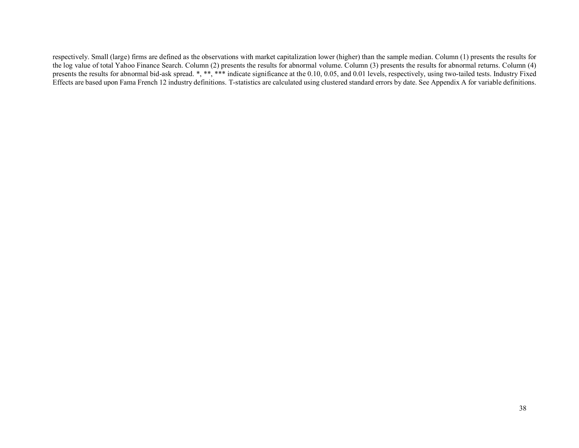respectively. Small (large) firms are defined as the observations with market capitalization lower (higher) than the sample median. Column (1) presents the results for the log value of total Yahoo Finance Search. Column (2) presents the results for abnormal volume. Column (3) presents the results for abnormal returns. Column (4) presents the results for abnormal bid-ask spread. \*, \*\*, \*\*\* indicate significance at the 0.10, 0.05, and 0.01 levels, respectively, using two-tailed tests. Industry Fixed Effects are based upon Fama French 12 industry definitions. T-statistics are calculated using clustered standard errors by date. See Appendix A for variable definitions.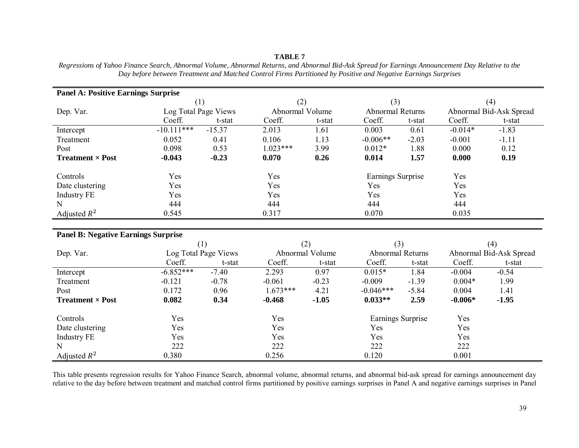| <b>Panel A: Positive Earnings Surprise</b> |              |                      |            |                 |            |                         |                         |                         |  |  |  |
|--------------------------------------------|--------------|----------------------|------------|-----------------|------------|-------------------------|-------------------------|-------------------------|--|--|--|
|                                            |              | $\left( 1\right)$    | (2)        |                 |            | (3)                     |                         | (4)                     |  |  |  |
| Dep. Var.                                  |              | Log Total Page Views |            | Abnormal Volume |            | <b>Abnormal Returns</b> | Abnormal Bid-Ask Spread |                         |  |  |  |
|                                            | Coeff.       | t-stat               | Coeff.     | t-stat          | Coeff.     | t-stat                  | Coeff.                  | t-stat                  |  |  |  |
| Intercept                                  | $-10.111***$ | $-15.37$             | 2.013      | 1.61            | 0.003      | 0.61                    | $-0.014*$               | $-1.83$                 |  |  |  |
| Treatment                                  | 0.052        | 0.41                 | 0.106      | 1.13            | $-0.006**$ | $-2.03$                 | $-0.001$                | $-1.11$                 |  |  |  |
| Post                                       | 0.098        | 0.53                 | $1.023***$ | 3.99            | $0.012*$   | 1.88                    | 0.000                   | 0.12                    |  |  |  |
| $Treatment \times Post$                    | $-0.043$     | $-0.23$              | 0.070      | 0.26            | 0.014      | 1.57                    | 0.000                   | 0.19                    |  |  |  |
|                                            |              |                      |            |                 |            |                         |                         |                         |  |  |  |
| Controls                                   | Yes          |                      |            | Yes             |            | Earnings Surprise       | Yes                     |                         |  |  |  |
| Date clustering                            | Yes          |                      | Yes        |                 | Yes        |                         | Yes                     |                         |  |  |  |
| <b>Industry FE</b>                         | Yes          |                      | Yes        |                 | Yes        |                         | Yes                     |                         |  |  |  |
| N                                          | 444          |                      | 444        |                 | 444        |                         | 444                     |                         |  |  |  |
| Adjusted $R^2$                             | 0.545        |                      | 0.317      |                 | 0.070      |                         | 0.035                   |                         |  |  |  |
|                                            |              |                      |            |                 |            |                         |                         |                         |  |  |  |
| <b>Panel B: Negative Earnings Surprise</b> |              |                      |            |                 |            |                         |                         |                         |  |  |  |
|                                            | (1)          |                      |            | (2)             |            | (3)                     |                         | (4)                     |  |  |  |
| Dep. Var.                                  |              | Log Total Page Views |            | Abnormal Volume |            | Abnormal Returns        |                         | Abnormal Bid-Ask Spread |  |  |  |
|                                            | Coeff.       | t-stat               | Coeff.     | t-stat          | Coeff.     | t-stat                  | Coeff.                  | t-stat                  |  |  |  |

**TABLE 7** *Regressions of Yahoo Finance Search, Abnormal Volume, Abnormal Returns, and Abnormal Bid-Ask Spread for Earnings Announcement Day Relative to the Day before between Treatment and Matched Control Firms Partitioned by Positive and Negative Earnings Surprises*

This table presents regression results for Yahoo Finance Search, abnormal volume, abnormal returns, and abnormal bid-ask spread for earnings announcement day relative to the day before between treatment and matched control firms partitioned by positive earnings surprises in Panel A and negative earnings surprises in Panel

<sup>2</sup> 0.380 0.256 0.120 0.001

Intercept -6.852\*\*\* -7.40 2.293 0.97 0.015\* 1.84 -0.004 -0.54 Treatment -0.121 -0.78 -0.061 -0.23 -0.009 -1.39 0.004\* 1.99 Post 0.172 0.96 1.673\*\*\* 4.21 -0.046\*\*\* -5.84 0.004 1.41 **Treatment × Post 0.082 0.34 -0.468 -1.05 0.033\*\* 2.59 -0.006\* -1.95**

Controls Yes Yes Earnings Surprise Yes Date clustering Yes Yes Yes Yes Industry FE Yes Yes Yes Yes N 222 222 222 223 223 222 222 222

Adjusted  $R^2$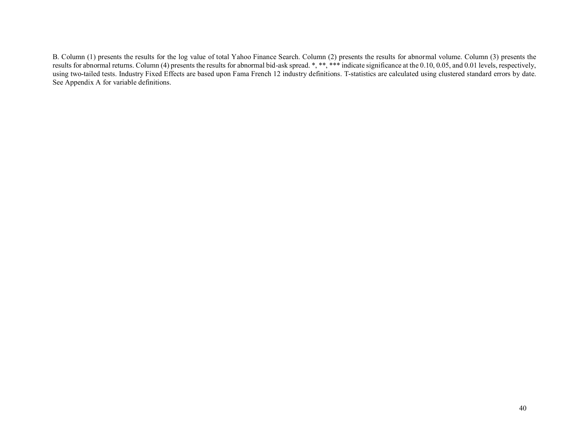B. Column (1) presents the results for the log value of total Yahoo Finance Search. Column (2) presents the results for abnormal volume. Column (3) presents the results for abnormal returns. Column (4) presents the results for abnormal bid-ask spread. \*, \*\*, \*\*\* indicate significance at the 0.10, 0.05, and 0.01 levels, respectively, using two-tailed tests. Industry Fixed Effects are based upon Fama French 12 industry definitions. T-statistics are calculated using clustered standard errors by date. See Appendix A for variable definitions.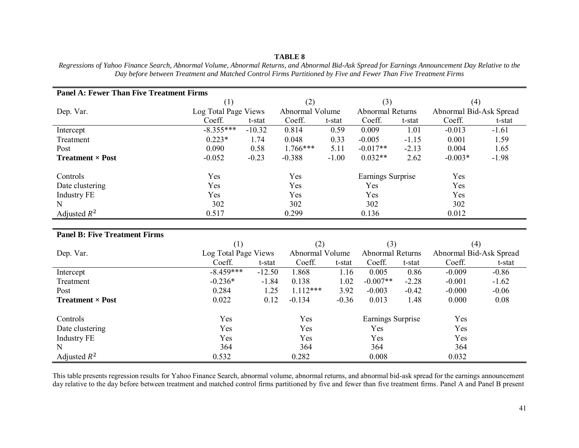| <b>Panel A: Fewer Than Five Treatment Firms</b> |                             |          |                 |         |                         |         |                         |         |  |  |  |
|-------------------------------------------------|-----------------------------|----------|-----------------|---------|-------------------------|---------|-------------------------|---------|--|--|--|
|                                                 | (1)<br>Log Total Page Views |          | (2)             |         |                         | (3)     |                         | (4)     |  |  |  |
| Dep. Var.                                       |                             |          | Abnormal Volume |         | <b>Abnormal Returns</b> |         | Abnormal Bid-Ask Spread |         |  |  |  |
|                                                 | Coeff.                      | t-stat   | Coeff.          | t-stat  | Coeff.                  | t-stat  | Coeff.                  | t-stat  |  |  |  |
| Intercept                                       | $-8.355***$                 | $-10.32$ | 0.814           | 0.59    | 0.009                   | 1.01    | $-0.013$                | $-1.61$ |  |  |  |
| Treatment                                       | $0.223*$                    | 1.74     | 0.048           | 0.33    | $-0.005$                | $-1.15$ | 0.001                   | 1.59    |  |  |  |
| Post                                            | 0.090                       | 0.58     | $1.766***$      | 5.11    | $-0.017**$              | $-2.13$ | 0.004                   | 1.65    |  |  |  |
| <b>Treatment</b> $\times$ Post                  | $-0.052$                    | $-0.23$  | $-0.388$        | $-1.00$ | $0.032**$               | 2.62    | $-0.003*$               | $-1.98$ |  |  |  |
| Controls                                        | Yes                         |          | Yes             |         | Earnings Surprise       |         | Yes                     |         |  |  |  |
| Date clustering                                 | Yes                         |          | Yes             |         | Yes                     |         | Yes                     |         |  |  |  |
| <b>Industry FE</b>                              | Yes                         |          | Yes             |         | Yes                     |         | Yes                     |         |  |  |  |
| N                                               | 302                         |          | 302             |         | 302                     |         | 302                     |         |  |  |  |
| Adjusted $R^2$                                  | 0.517                       |          | 0.299           |         | 0.136                   |         | 0.012                   |         |  |  |  |

# **TABLE 8**

*Regressions of Yahoo Finance Search, Abnormal Volume, Abnormal Returns, and Abnormal Bid-Ask Spread for Earnings Announcement Day Relative to the Day before between Treatment and Matched Control Firms Partitioned by Five and Fewer Than Five Treatment Firms*

# **Panel B: Five Treatment Firms**

|                                | (1)                  | (2)      |                 | (3)     |                         | (4)                     |          |         |
|--------------------------------|----------------------|----------|-----------------|---------|-------------------------|-------------------------|----------|---------|
| Dep. Var.                      | Log Total Page Views |          | Abnormal Volume |         | <b>Abnormal Returns</b> | Abnormal Bid-Ask Spread |          |         |
|                                | Coeff.               | t-stat   | Coeff.          | t-stat  | Coeff.                  | t-stat                  | Coeff.   | t-stat  |
| Intercept                      | $-8.459***$          | $-12.50$ | 1.868           | 1.16    | 0.005                   | 0.86                    | $-0.009$ | $-0.86$ |
| Treatment                      | $-0.236*$            | $-1.84$  | 0.138           | 1.02    | $-0.007**$              | $-2.28$                 | $-0.001$ | $-1.62$ |
| Post                           | 0.284                | 1.25     | $1.112***$      | 3.92    | $-0.003$                | $-0.42$                 | $-0.000$ | $-0.06$ |
| <b>Treatment</b> $\times$ Post | 0.022                | 0.12     | $-0.134$        | $-0.36$ | 0.013                   | 1.48                    | 0.000    | 0.08    |
| Controls                       | Yes                  |          | Yes             |         | Earnings Surprise       |                         | Yes      |         |
| Date clustering                | Yes                  |          | Yes             |         | Yes                     |                         | Yes      |         |
| <b>Industry FE</b>             | Yes                  |          | Yes             |         | Yes                     |                         | Yes      |         |
| N                              | 364                  |          | 364             |         | 364                     |                         | 364      |         |
| Adjusted $R^2$                 | 0.532                |          | 0.282           |         | 0.008                   |                         | 0.032    |         |

This table presents regression results for Yahoo Finance Search, abnormal volume, abnormal returns, and abnormal bid-ask spread for the earnings announcement day relative to the day before between treatment and matched control firms partitioned by five and fewer than five treatment firms. Panel A and Panel B present